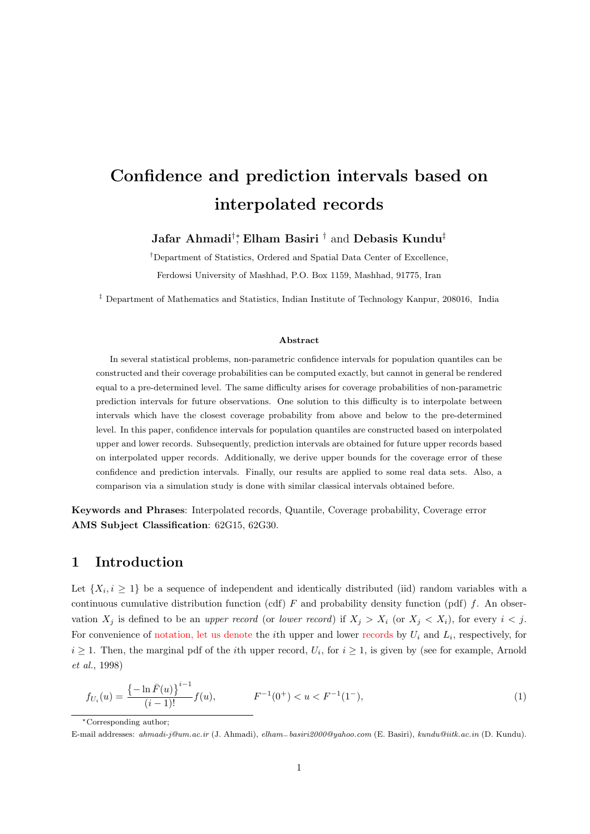# **Confidence and prediction intervals based on interpolated records**

#### **Jafar Ahmadi***†∗* , **Elham Basiri** *†* and **Debasis Kundu***‡*

*†*Department of Statistics, Ordered and Spatial Data Center of Excellence, Ferdowsi University of Mashhad, P.O. Box 1159, Mashhad, 91775, Iran

*‡* Department of Mathematics and Statistics, Indian Institute of Technology Kanpur, 208016, India

#### **Abstract**

In several statistical problems, non-parametric confidence intervals for population quantiles can be constructed and their coverage probabilities can be computed exactly, but cannot in general be rendered equal to a pre-determined level. The same difficulty arises for coverage probabilities of non-parametric prediction intervals for future observations. One solution to this difficulty is to interpolate between intervals which have the closest coverage probability from above and below to the pre-determined level. In this paper, confidence intervals for population quantiles are constructed based on interpolated upper and lower records. Subsequently, prediction intervals are obtained for future upper records based on interpolated upper records. Additionally, we derive upper bounds for the coverage error of these confidence and prediction intervals. Finally, our results are applied to some real data sets. Also, a comparison via a simulation study is done with similar classical intervals obtained before.

**Keywords and Phrases**: Interpolated records, Quantile, Coverage probability, Coverage error **AMS Subject Classification**: 62G15, 62G30.

## **1 Introduction**

Let  $\{X_i, i \geq 1\}$  be a sequence of independent and identically distributed (iid) random variables with a continuous cumulative distribution function (cdf) *F* and probability density function (pdf) *f*. An observation  $X_j$  is defined to be an *upper record* (or *lower record*) if  $X_j > X_i$  (or  $X_j < X_i$ ), for every  $i < j$ . For convenience of notation, let us denote the *i*th upper and lower records by *U<sup>i</sup>* and *L<sup>i</sup>* , respectively, for  $i \geq 1$ . Then, the marginal pdf of the *i*th upper record,  $U_i$ , for  $i \geq 1$ , is given by (see for example, Arnold *et al.*, 1998)

$$
f_{U_i}(u) = \frac{\left\{-\ln \bar{F}(u)\right\}^{i-1}}{(i-1)!} f(u), \qquad F^{-1}(0^+) < u < F^{-1}(1^-), \tag{1}
$$

*∗*Corresponding author;

E-mail addresses: *ahmadi-j@um.ac.ir* (J. Ahmadi), *elham−basiri2000@yahoo.com* (E. Basiri), *kundu@iitk.ac.in* (D. Kundu).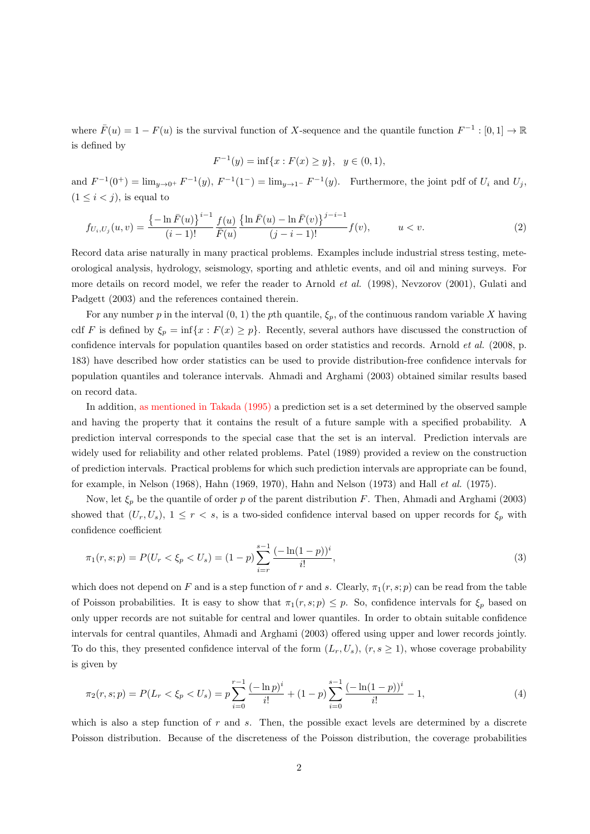where  $\bar{F}(u) = 1 - F(u)$  is the survival function of *X*-sequence and the quantile function  $F^{-1} : [0,1] \to \mathbb{R}$ is defined by

$$
F^{-1}(y) = \inf\{x : F(x) \ge y\}, \ \ y \in (0,1),
$$

and  $F^{-1}(0^+) = \lim_{y \to 0^+} F^{-1}(y)$ ,  $F^{-1}(1^-) = \lim_{y \to 1^-} F^{-1}(y)$ . Furthermore, the joint pdf of  $U_i$  and  $U_j$ ,  $(1 \leq i < j)$ , is equal to

$$
f_{U_i, U_j}(u, v) = \frac{\left\{-\ln \bar{F}(u)\right\}^{i-1}}{(i-1)!} \frac{f(u)}{\bar{F}(u)} \frac{\left\{\ln \bar{F}(u) - \ln \bar{F}(v)\right\}^{j-i-1}}{(j-i-1)!} f(v), \qquad u < v. \tag{2}
$$

Record data arise naturally in many practical problems. Examples include industrial stress testing, meteorological analysis, hydrology, seismology, sporting and athletic events, and oil and mining surveys. For more details on record model, we refer the reader to Arnold *et al.* (1998), Nevzorov (2001), Gulati and Padgett (2003) and the references contained therein.

For any number *p* in the interval  $(0, 1)$  the *p*th quantile,  $\xi_p$ , of the continuous random variable *X* having cdf *F* is defined by  $\xi_p = \inf\{x : F(x) \geq p\}$ . Recently, several authors have discussed the construction of confidence intervals for population quantiles based on order statistics and records. Arnold *et al.* (2008, p. 183) have described how order statistics can be used to provide distribution-free confidence intervals for population quantiles and tolerance intervals. Ahmadi and Arghami (2003) obtained similar results based on record data.

In addition, as mentioned in Takada (1995) a prediction set is a set determined by the observed sample and having the property that it contains the result of a future sample with a specified probability. A prediction interval corresponds to the special case that the set is an interval. Prediction intervals are widely used for reliability and other related problems. Patel (1989) provided a review on the construction of prediction intervals. Practical problems for which such prediction intervals are appropriate can be found, for example, in Nelson (1968), Hahn (1969, 1970), Hahn and Nelson (1973) and Hall *et al.* (1975).

Now, let *ξ<sup>p</sup>* be the quantile of order *p* of the parent distribution *F*. Then, Ahmadi and Arghami (2003) showed that  $(U_r, U_s)$ ,  $1 \leq r < s$ , is a two-sided confidence interval based on upper records for  $\xi_p$  with confidence coefficient

$$
\pi_1(r,s;p) = P(U_r < \xi_p < U_s) = (1-p) \sum_{i=r}^{s-1} \frac{(-\ln(1-p))^i}{i!},\tag{3}
$$

which does not depend on *F* and is a step function of *r* and *s*. Clearly,  $\pi_1(r, s; p)$  can be read from the table of Poisson probabilities. It is easy to show that  $\pi_1(r, s; p) \leq p$ . So, confidence intervals for  $\xi_p$  based on only upper records are not suitable for central and lower quantiles. In order to obtain suitable confidence intervals for central quantiles, Ahmadi and Arghami (2003) offered using upper and lower records jointly. To do this, they presented confidence interval of the form  $(L_r, U_s)$ ,  $(r, s \ge 1)$ , whose coverage probability is given by

$$
\pi_2(r,s;p) = P(L_r < \xi_p < U_s) = p \sum_{i=0}^{r-1} \frac{(-\ln p)^i}{i!} + (1-p) \sum_{i=0}^{s-1} \frac{(-\ln(1-p))^i}{i!} - 1,\tag{4}
$$

which is also a step function of *r* and *s*. Then, the possible exact levels are determined by a discrete Poisson distribution. Because of the discreteness of the Poisson distribution, the coverage probabilities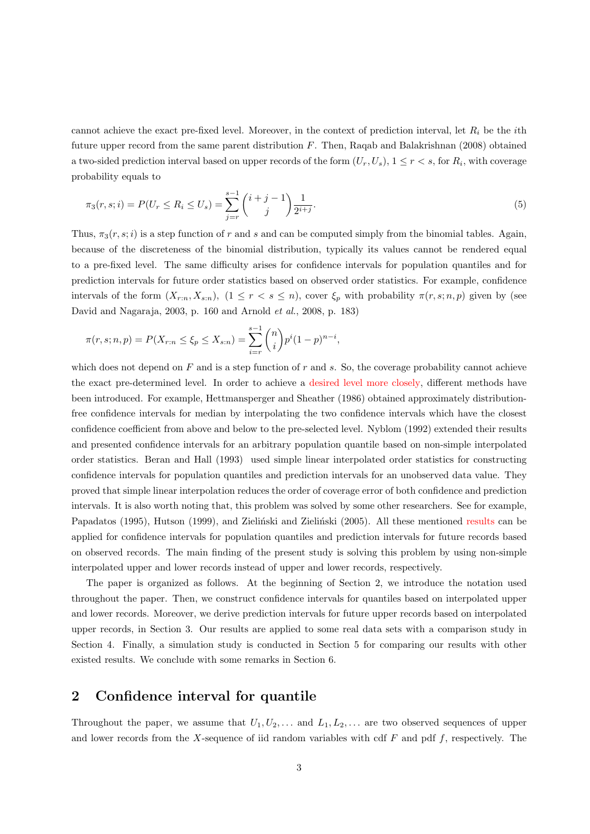cannot achieve the exact pre-fixed level. Moreover, in the context of prediction interval, let *R<sup>i</sup>* be the *i*th future upper record from the same parent distribution *F*. Then, Raqab and Balakrishnan (2008) obtained a two-sided prediction interval based on upper records of the form  $(U_r, U_s)$ ,  $1 \leq r < s$ , for  $R_i$ , with coverage probability equals to

$$
\pi_3(r,s;i) = P(U_r \le R_i \le U_s) = \sum_{j=r}^{s-1} {i+j-1 \choose j} \frac{1}{2^{i+j}}.
$$
\n(5)

Thus,  $\pi_3(r, s; i)$  is a step function of *r* and *s* and can be computed simply from the binomial tables. Again, because of the discreteness of the binomial distribution, typically its values cannot be rendered equal to a pre-fixed level. The same difficulty arises for confidence intervals for population quantiles and for prediction intervals for future order statistics based on observed order statistics. For example, confidence intervals of the form  $(X_{r:n}, X_{s:n})$ ,  $(1 \leq r < s \leq n)$ , cover  $\xi_p$  with probability  $\pi(r, s; n, p)$  given by (see David and Nagaraja, 2003, p. 160 and Arnold *et al.*, 2008, p. 183)

$$
\pi(r, s; n, p) = P(X_{r:n} \le \xi_p \le X_{s:n}) = \sum_{i=r}^{s-1} {n \choose i} p^i (1-p)^{n-i},
$$

which does not depend on *F* and is a step function of *r* and *s*. So, the coverage probability cannot achieve the exact pre-determined level. In order to achieve a desired level more closely, different methods have been introduced. For example, Hettmansperger and Sheather (1986) obtained approximately distributionfree confidence intervals for median by interpolating the two confidence intervals which have the closest confidence coefficient from above and below to the pre-selected level. Nyblom (1992) extended their results and presented confidence intervals for an arbitrary population quantile based on non-simple interpolated order statistics. Beran and Hall (1993) used simple linear interpolated order statistics for constructing confidence intervals for population quantiles and prediction intervals for an unobserved data value. They proved that simple linear interpolation reduces the order of coverage error of both confidence and prediction intervals. It is also worth noting that, this problem was solved by some other researchers. See for example, Papadatos (1995), Hutson (1999), and Zieliński and Zieliński (2005). All these mentioned results can be applied for confidence intervals for population quantiles and prediction intervals for future records based on observed records. The main finding of the present study is solving this problem by using non-simple interpolated upper and lower records instead of upper and lower records, respectively.

The paper is organized as follows. At the beginning of Section 2, we introduce the notation used throughout the paper. Then, we construct confidence intervals for quantiles based on interpolated upper and lower records. Moreover, we derive prediction intervals for future upper records based on interpolated upper records, in Section 3. Our results are applied to some real data sets with a comparison study in Section 4. Finally, a simulation study is conducted in Section 5 for comparing our results with other existed results. We conclude with some remarks in Section 6.

### **2 Confidence interval for quantile**

Throughout the paper, we assume that  $U_1, U_2, \ldots$  and  $L_1, L_2, \ldots$  are two observed sequences of upper and lower records from the *X*-sequence of iid random variables with cdf *F* and pdf *f*, respectively. The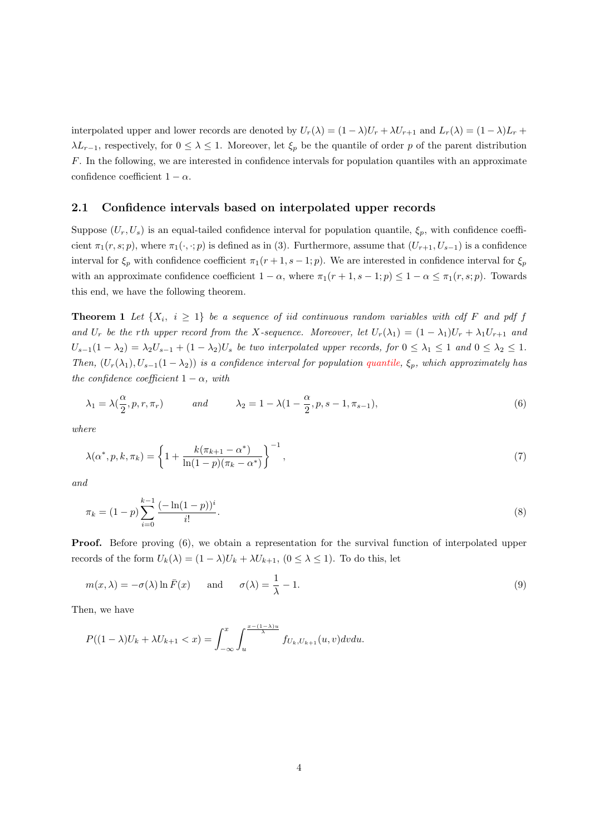interpolated upper and lower records are denoted by  $U_r(\lambda) = (1 - \lambda)U_r + \lambda U_{r+1}$  and  $L_r(\lambda) = (1 - \lambda)L_r +$ *λL*<sub>*r*</sub><sup>−1</sup>, respectively, for 0 ≤ *λ* ≤ 1. Moreover, let  $ξ$ <sup>*p*</sup> be the quantile of order *p* of the parent distribution *F*. In the following, we are interested in confidence intervals for population quantiles with an approximate confidence coefficient  $1 - \alpha$ .

#### **2.1 Confidence intervals based on interpolated upper records**

Suppose  $(U_r, U_s)$  is an equal-tailed confidence interval for population quantile,  $\xi_p$ , with confidence coefficient  $\pi_1(r, s; p)$ , where  $\pi_1(\cdot, \cdot; p)$  is defined as in (3). Furthermore, assume that  $(U_{r+1}, U_{s-1})$  is a confidence interval for  $\xi_p$  with confidence coefficient  $\pi_1(r+1, s-1; p)$ . We are interested in confidence interval for  $\xi_p$ with an approximate confidence coefficient  $1 - \alpha$ , where  $\pi_1(r + 1, s - 1; p) \leq 1 - \alpha \leq \pi_1(r, s; p)$ . Towards this end, we have the following theorem.

**Theorem 1** Let  $\{X_i, i \geq 1\}$  be a sequence of iid continuous random variables with cdf F and pdf f and  $U_r$  be the rth upper record from the X-sequence. Moreover, let  $U_r(\lambda_1) = (1 - \lambda_1)U_r + \lambda_1 U_{r+1}$  and  $U_{s-1}(1-\lambda_2)=\lambda_2U_{s-1}+(1-\lambda_2)U_s$  be two interpolated upper records, for  $0\leq \lambda_1\leq 1$  and  $0\leq \lambda_2\leq 1$ . *Then,*  $(U_r(\lambda_1), U_{s-1}(1-\lambda_2))$  *is a confidence interval for population quantile,*  $\xi_p$ *, which approximately has the confidence coefficient*  $1 - \alpha$ *, with* 

$$
\lambda_1 = \lambda\left(\frac{\alpha}{2}, p, r, \pi_r\right) \qquad \text{and} \qquad \lambda_2 = 1 - \lambda\left(1 - \frac{\alpha}{2}, p, s - 1, \pi_{s-1}\right),\tag{6}
$$

*where*

$$
\lambda(\alpha^*, p, k, \pi_k) = \left\{ 1 + \frac{k(\pi_{k+1} - \alpha^*)}{\ln(1 - p)(\pi_k - \alpha^*)} \right\}^{-1},\tag{7}
$$

*and*

$$
\pi_k = (1-p) \sum_{i=0}^{k-1} \frac{(-\ln(1-p))^i}{i!}.
$$
\n(8)

**Proof.** Before proving (6), we obtain a representation for the survival function of interpolated upper records of the form  $U_k(\lambda) = (1 - \lambda)U_k + \lambda U_{k+1}$ ,  $(0 \leq \lambda \leq 1)$ . To do this, let

$$
m(x, \lambda) = -\sigma(\lambda) \ln \bar{F}(x)
$$
 and  $\sigma(\lambda) = \frac{1}{\lambda} - 1.$  (9)

Then, we have

$$
P((1-\lambda)U_k+\lambda U_{k+1}
$$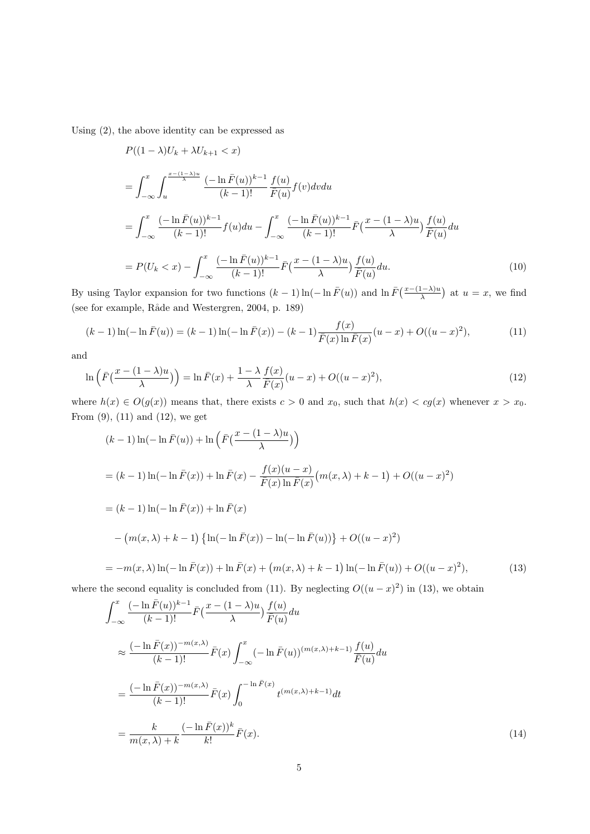Using (2), the above identity can be expressed as

$$
P((1 - \lambda)U_k + \lambda U_{k+1} < x)
$$
\n
$$
= \int_{-\infty}^x \int_u^{\frac{x - (1 - \lambda)u}{\lambda}} \frac{(-\ln \bar{F}(u))^{k-1} f(u)}{(k-1)!} f(v) dv du
$$
\n
$$
= \int_{-\infty}^x \frac{(-\ln \bar{F}(u))^{k-1}}{(k-1)!} f(u) du - \int_{-\infty}^x \frac{(-\ln \bar{F}(u))^{k-1}}{(k-1)!} \bar{F}(\frac{x - (1 - \lambda)u}{\lambda}) \frac{f(u)}{\bar{F}(u)} du
$$
\n
$$
= P(U_k < x) - \int_{-\infty}^x \frac{(-\ln \bar{F}(u))^{k-1}}{(k-1)!} \bar{F}(\frac{x - (1 - \lambda)u}{\lambda}) \frac{f(u)}{\bar{F}(u)} du. \tag{10}
$$

By using Taylor expansion for two functions  $(k-1)\ln(-\ln \bar{F}(u))$  and  $\ln \bar{F}(\frac{x-(1-\lambda)u}{\lambda})$  at  $u=x$ , we find (see for example, Råde and Westergren, 2004, p. 189)

$$
(k-1)\ln(-\ln \bar{F}(u)) = (k-1)\ln(-\ln \bar{F}(x)) - (k-1)\frac{f(x)}{\bar{F}(x)\ln \bar{F}(x)}(u-x) + O((u-x)^2),\tag{11}
$$

and

$$
\ln\left(\bar{F}\left(\frac{x-(1-\lambda)u}{\lambda}\right)\right) = \ln \bar{F}(x) + \frac{1-\lambda}{\lambda} \frac{f(x)}{\bar{F}(x)}(u-x) + O((u-x)^2),\tag{12}
$$

where  $h(x) \in O(g(x))$  means that, there exists  $c > 0$  and  $x_0$ , such that  $h(x) < cg(x)$  whenever  $x > x_0$ . From  $(9)$ ,  $(11)$  and  $(12)$ , we get

$$
(k-1)\ln(-\ln \bar{F}(u)) + \ln\left(\bar{F}\left(\frac{x-(1-\lambda)u}{\lambda}\right)\right)
$$
  
=  $(k-1)\ln(-\ln \bar{F}(x)) + \ln \bar{F}(x) - \frac{f(x)(u-x)}{\bar{F}(x)\ln \bar{F}(x)}(m(x,\lambda) + k - 1) + O((u-x)^2)$   
=  $(k-1)\ln(-\ln \bar{F}(x)) + \ln \bar{F}(x)$   

$$
- (m(x,\lambda) + k - 1) \left\{\ln(-\ln \bar{F}(x)) - \ln(-\ln \bar{F}(u))\right\} + O((u-x)^2)
$$
  
=  $-m(x,\lambda)\ln(-\ln \bar{F}(x)) + \ln \bar{F}(x) + (m(x,\lambda) + k - 1)\ln(-\ln \bar{F}(u)) + O((u-x)^2),$  (13)

where the second equality is concluded from (11). By neglecting  $O((u-x)^2)$  in (13), we obtain

$$
\int_{-\infty}^{x} \frac{(-\ln \bar{F}(u))^{k-1}}{(k-1)!} \bar{F}(\frac{x - (1 - \lambda)u}{\lambda}) \frac{f(u)}{\bar{F}(u)} du
$$
\n
$$
\approx \frac{(-\ln \bar{F}(x))^{-m(x,\lambda)}}{(k-1)!} \bar{F}(x) \int_{-\infty}^{x} (-\ln \bar{F}(u))^{(m(x,\lambda)+k-1)} \frac{f(u)}{\bar{F}(u)} du
$$
\n
$$
= \frac{(-\ln \bar{F}(x))^{-m(x,\lambda)}}{(k-1)!} \bar{F}(x) \int_{0}^{-\ln \bar{F}(x)} t^{(m(x,\lambda)+k-1)} dt
$$
\n
$$
= \frac{k}{m(x,\lambda)+k} \frac{(-\ln \bar{F}(x))^{k}}{k!} \bar{F}(x).
$$
\n(14)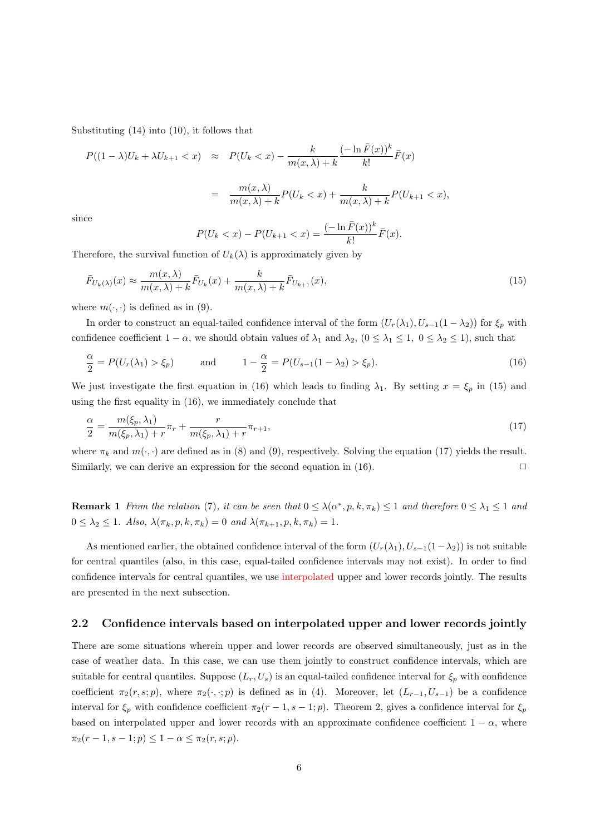Substituting (14) into (10), it follows that

$$
P((1 - \lambda)U_k + \lambda U_{k+1} < x) \approx P(U_k < x) - \frac{k}{m(x, \lambda) + k} \frac{(-\ln \bar{F}(x))^k}{k!} \bar{F}(x)
$$
\n
$$
= \frac{m(x, \lambda)}{m(x, \lambda) + k} P(U_k < x) + \frac{k}{m(x, \lambda) + k} P(U_{k+1} < x),
$$

since

$$
P(U_k < x) - P(U_{k+1} < x) = \frac{(-\ln \bar{F}(x))^k}{k!} \bar{F}(x).
$$

Therefore, the survival function of  $U_k(\lambda)$  is approximately given by

$$
\bar{F}_{U_k(\lambda)}(x) \approx \frac{m(x,\lambda)}{m(x,\lambda) + k} \bar{F}_{U_k}(x) + \frac{k}{m(x,\lambda) + k} \bar{F}_{U_{k+1}}(x),\tag{15}
$$

where  $m(\cdot, \cdot)$  is defined as in (9).

In order to construct an equal-tailed confidence interval of the form  $(U_r(\lambda_1), U_{s-1}(1-\lambda_2))$  for  $\xi_p$  with confidence coefficient  $1 - \alpha$ , we should obtain values of  $\lambda_1$  and  $\lambda_2$ ,  $(0 \leq \lambda_1 \leq 1, 0 \leq \lambda_2 \leq 1)$ , such that

$$
\frac{\alpha}{2} = P(U_r(\lambda_1) > \xi_p) \quad \text{and} \quad 1 - \frac{\alpha}{2} = P(U_{s-1}(1 - \lambda_2) > \xi_p). \tag{16}
$$

We just investigate the first equation in (16) which leads to finding  $\lambda_1$ . By setting  $x = \xi_p$  in (15) and using the first equality in (16), we immediately conclude that

$$
\frac{\alpha}{2} = \frac{m(\xi_p, \lambda_1)}{m(\xi_p, \lambda_1) + r} \pi_r + \frac{r}{m(\xi_p, \lambda_1) + r} \pi_{r+1},\tag{17}
$$

where  $\pi_k$  and  $m(\cdot, \cdot)$  are defined as in (8) and (9), respectively. Solving the equation (17) yields the result. Similarly, we can derive an expression for the second equation in  $(16)$ .  $\Box$ 

**Remark 1** From the relation (7), it can be seen that  $0 \leq \lambda(\alpha^*, p, k, \pi_k) \leq 1$  and therefore  $0 \leq \lambda_1 \leq 1$  and  $0 \leq \lambda_2 \leq 1$ *. Also,*  $\lambda(\pi_k, p, k, \pi_k) = 0$  *and*  $\lambda(\pi_{k+1}, p, k, \pi_k) = 1$ *.* 

As mentioned earlier, the obtained confidence interval of the form  $(U_r(\lambda_1), U_{s-1}(1-\lambda_2))$  is not suitable for central quantiles (also, in this case, equal-tailed confidence intervals may not exist). In order to find confidence intervals for central quantiles, we use interpolated upper and lower records jointly. The results are presented in the next subsection.

#### **2.2 Confidence intervals based on interpolated upper and lower records jointly**

There are some situations wherein upper and lower records are observed simultaneously, just as in the case of weather data. In this case, we can use them jointly to construct confidence intervals, which are suitable for central quantiles. Suppose  $(L_r, U_s)$  is an equal-tailed confidence interval for  $\xi_p$  with confidence coefficient  $\pi_2(r, s; p)$ , where  $\pi_2(\cdot, \cdot; p)$  is defined as in (4). Moreover, let  $(L_{r-1}, U_{s-1})$  be a confidence interval for  $\xi_p$  with confidence coefficient  $\pi_2(r-1, s-1; p)$ . Theorem 2, gives a confidence interval for  $\xi_p$ based on interpolated upper and lower records with an approximate confidence coefficient  $1 - \alpha$ , where  $\pi_2(r-1, s-1; p) \leq 1-\alpha \leq \pi_2(r, s; p).$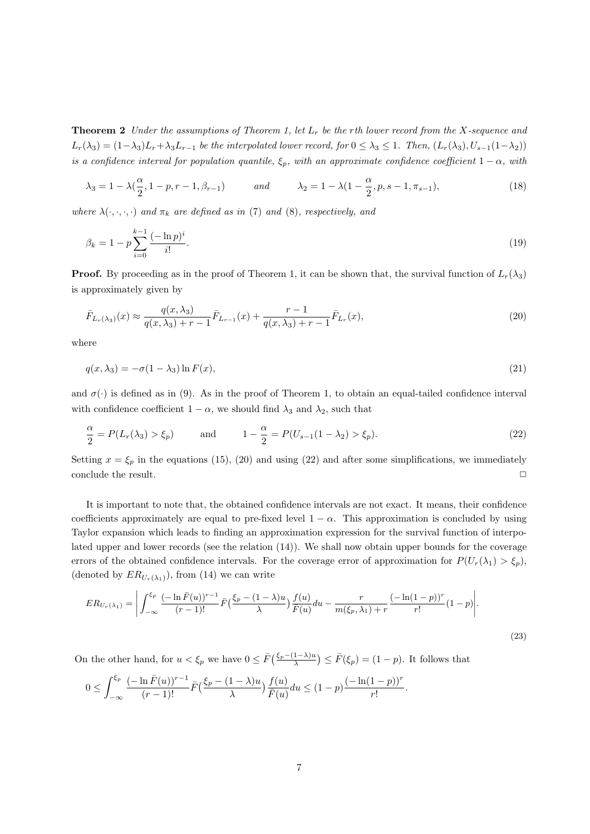**Theorem 2** *Under the assumptions of Theorem 1, let L<sup>r</sup> be the rth lower record from the X-sequence and*  $L_r(\lambda_3) = (1-\lambda_3)L_r + \lambda_3 L_{r-1}$  be the interpolated lower record, for  $0 \leq \lambda_3 \leq 1$ . Then,  $(L_r(\lambda_3), U_{s-1}(1-\lambda_2))$ *is a confidence interval for population quantile,*  $\xi_p$ *, with an approximate confidence coefficient*  $1 - \alpha$ *, with* 

$$
\lambda_3 = 1 - \lambda(\frac{\alpha}{2}, 1 - p, r - 1, \beta_{r-1}) \qquad \text{and} \qquad \lambda_2 = 1 - \lambda(1 - \frac{\alpha}{2}, p, s - 1, \pi_{s-1}), \tag{18}
$$

*where*  $\lambda(\cdot, \cdot, \cdot)$  *and*  $\pi_k$  *are defined as in* (7) *and* (8)*, respectively, and* 

$$
\beta_k = 1 - p \sum_{i=0}^{k-1} \frac{(-\ln p)^i}{i!}.
$$
\n(19)

**Proof.** By proceeding as in the proof of Theorem 1, it can be shown that, the survival function of  $L_r(\lambda_3)$ is approximately given by

$$
\bar{F}_{L_r(\lambda_3)}(x) \approx \frac{q(x,\lambda_3)}{q(x,\lambda_3) + r - 1} \bar{F}_{L_{r-1}}(x) + \frac{r - 1}{q(x,\lambda_3) + r - 1} \bar{F}_{L_r}(x),\tag{20}
$$

where

$$
q(x,\lambda_3) = -\sigma(1-\lambda_3)\ln F(x),\tag{21}
$$

and  $\sigma(\cdot)$  is defined as in (9). As in the proof of Theorem 1, to obtain an equal-tailed confidence interval with confidence coefficient  $1 - \alpha$ , we should find  $\lambda_3$  and  $\lambda_2$ , such that

$$
\frac{\alpha}{2} = P(L_r(\lambda_3) > \xi_p) \quad \text{and} \quad 1 - \frac{\alpha}{2} = P(U_{s-1}(1 - \lambda_2) > \xi_p). \tag{22}
$$

Setting  $x = \xi_p$  in the equations (15), (20) and using (22) and after some simplifications, we immediately conclude the result.  $\Box$ 

It is important to note that, the obtained confidence intervals are not exact. It means, their confidence coefficients approximately are equal to pre-fixed level  $1 - \alpha$ . This approximation is concluded by using Taylor expansion which leads to finding an approximation expression for the survival function of interpolated upper and lower records (see the relation (14)). We shall now obtain upper bounds for the coverage errors of the obtained confidence intervals. For the coverage error of approximation for  $P(U_r(\lambda_1) > \xi_p)$ , (denoted by  $ER_{U_r(\lambda_1)}$ ), from (14) we can write

$$
ER_{U_r(\lambda_1)} = \left| \int_{-\infty}^{\xi_p} \frac{(-\ln \bar{F}(u))^{r-1}}{(r-1)!} \bar{F}(\frac{\xi_p - (1-\lambda)u}{\lambda}) \frac{f(u)}{\bar{F}(u)} du - \frac{r}{m(\xi_p, \lambda_1) + r} \frac{(-\ln(1-p))^r}{r!} (1-p) \right|.
$$
\n(23)

On the other hand, for  $u < \xi_p$  we have  $0 \leq \bar{F}\left(\frac{\xi_p - (1-\lambda)u}{\lambda}\right) \leq \bar{F}(\xi_p) = (1-p)$ . It follows that

$$
0 \leq \int_{-\infty}^{\xi_p} \frac{(-\ln \bar{F}(u))^{r-1}}{(r-1)!} \bar{F}\left(\frac{\xi_p - (1-\lambda)u}{\lambda}\right) \frac{f(u)}{\bar{F}(u)} du \leq (1-p) \frac{(-\ln(1-p))^r}{r!}.
$$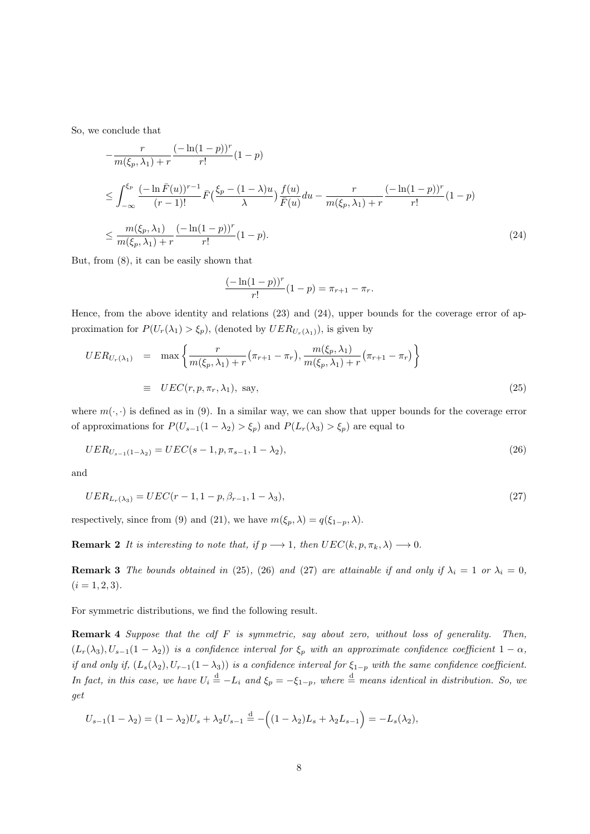So, we conclude that

$$
-\frac{r}{m(\xi_p, \lambda_1) + r} \frac{(-\ln(1-p))^r}{r!} (1-p)
$$
  
\n
$$
\leq \int_{-\infty}^{\xi_p} \frac{(-\ln \bar{F}(u))^{r-1}}{(r-1)!} \bar{F}(\frac{\xi_p - (1-\lambda)u}{\lambda}) \frac{f(u)}{\bar{F}(u)} du - \frac{r}{m(\xi_p, \lambda_1) + r} \frac{(-\ln(1-p))^r}{r!} (1-p)
$$
  
\n
$$
\leq \frac{m(\xi_p, \lambda_1)}{m(\xi_p, \lambda_1) + r} \frac{(-\ln(1-p))^r}{r!} (1-p).
$$
\n(24)

But, from (8), it can be easily shown that

$$
\frac{(-\ln(1-p))^r}{r!}(1-p) = \pi_{r+1} - \pi_r.
$$

Hence, from the above identity and relations (23) and (24), upper bounds for the coverage error of approximation for  $P(U_r(\lambda_1) > \xi_p)$ , (denoted by  $UER_{U_r(\lambda_1)}$ ), is given by

$$
UER_{U_r(\lambda_1)} = \max \left\{ \frac{r}{m(\xi_p, \lambda_1) + r} (\pi_{r+1} - \pi_r), \frac{m(\xi_p, \lambda_1)}{m(\xi_p, \lambda_1) + r} (\pi_{r+1} - \pi_r) \right\}
$$
  

$$
\equiv UEC(r, p, \pi_r, \lambda_1), \text{ say,}
$$
 (25)

where  $m(\cdot, \cdot)$  is defined as in (9). In a similar way, we can show that upper bounds for the coverage error of approximations for  $P(U_{s-1}(1 - \lambda_2) > \xi_p)$  and  $P(L_r(\lambda_3) > \xi_p)$  are equal to

$$
UER_{U_{s-1}(1-\lambda_2)} = UEC(s-1, p, \pi_{s-1}, 1-\lambda_2),\tag{26}
$$

and

$$
UER_{L_r(\lambda_3)} = UEC(r-1, 1-p, \beta_{r-1}, 1-\lambda_3),\tag{27}
$$

respectively, since from (9) and (21), we have  $m(\xi_p, \lambda) = q(\xi_{1-p}, \lambda)$ .

**Remark 2** *It is interesting to note that, if*  $p \rightarrow 1$ *, then*  $UEC(k, p, \pi_k, \lambda) \rightarrow 0$ *.* 

**Remark 3** *The bounds obtained in* (25)*,* (26) *and* (27) *are attainable if and only if*  $\lambda_i = 1$  *or*  $\lambda_i = 0$ *,*  $(i = 1, 2, 3)$ .

For symmetric distributions, we find the following result.

**Remark 4** *Suppose that the cdf F is symmetric, say about zero, without loss of generality. Then,*  $(L_r(\lambda_3), U_{s-1}(1-\lambda_2))$  *is a confidence interval for*  $\xi_p$  *with an approximate confidence coefficient*  $1-\alpha$ *, if and only if,*  $(L_s(\lambda_2), U_{r-1}(1-\lambda_3))$  *is a confidence interval for*  $\xi_{1-p}$  *with the same confidence coefficient. In fact, in this case, we have*  $U_i \stackrel{d}{=} -L_i$  *and*  $\xi_p = -\xi_{1-p}$ *, where*  $\stackrel{d}{=}$  *means identical in distribution. So, we get*

$$
U_{s-1}(1 - \lambda_2) = (1 - \lambda_2)U_s + \lambda_2 U_{s-1} \stackrel{d}{=} - \left( (1 - \lambda_2)L_s + \lambda_2 L_{s-1} \right) = -L_s(\lambda_2),
$$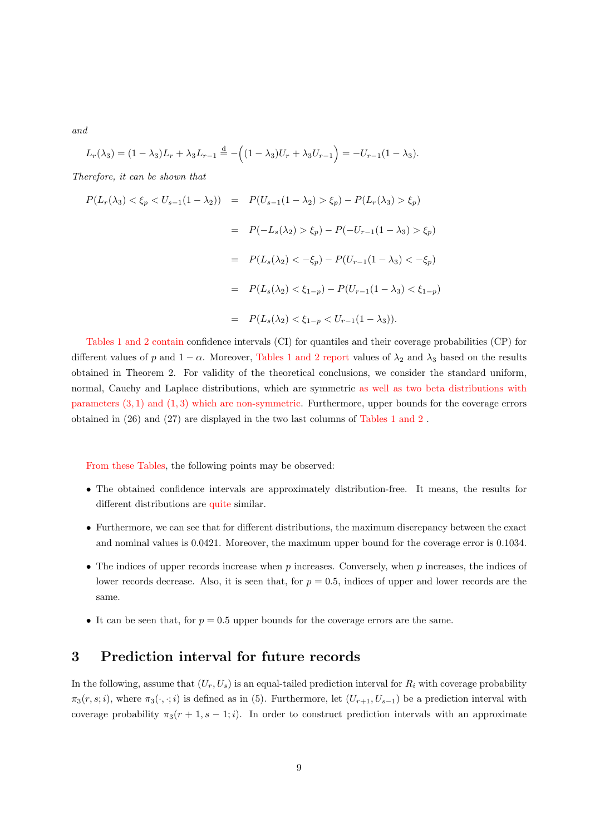*and*

$$
L_r(\lambda_3) = (1 - \lambda_3)L_r + \lambda_3 L_{r-1} \stackrel{d}{=} - ((1 - \lambda_3)U_r + \lambda_3 U_{r-1}) = -U_{r-1}(1 - \lambda_3).
$$

*Therefore, it can be shown that*

$$
P(L_r(\lambda_3) < \xi_p < U_{s-1}(1 - \lambda_2)) = P(U_{s-1}(1 - \lambda_2) > \xi_p) - P(L_r(\lambda_3) > \xi_p)
$$
\n
$$
= P(-L_s(\lambda_2) > \xi_p) - P(-U_{r-1}(1 - \lambda_3) > \xi_p)
$$
\n
$$
= P(L_s(\lambda_2) < -\xi_p) - P(U_{r-1}(1 - \lambda_3) < -\xi_p)
$$
\n
$$
= P(L_s(\lambda_2) < \xi_{1-p}) - P(U_{r-1}(1 - \lambda_3) < \xi_{1-p})
$$
\n
$$
= P(L_s(\lambda_2) < \xi_{1-p} < U_{r-1}(1 - \lambda_3)).
$$

Tables 1 and 2 contain confidence intervals (CI) for quantiles and their coverage probabilities (CP) for different values of *p* and  $1 - \alpha$ . Moreover, Tables 1 and 2 report values of  $\lambda_2$  and  $\lambda_3$  based on the results obtained in Theorem 2. For validity of the theoretical conclusions, we consider the standard uniform, normal, Cauchy and Laplace distributions, which are symmetric as well as two beta distributions with parameters (3*,* 1) and (1*,* 3) which are non-symmetric. Furthermore, upper bounds for the coverage errors obtained in (26) and (27) are displayed in the two last columns of Tables 1 and 2 .

From these Tables, the following points may be observed:

- The obtained confidence intervals are approximately distribution-free. It means, the results for different distributions are quite similar.
- Furthermore, we can see that for different distributions, the maximum discrepancy between the exact and nominal values is 0.0421. Moreover, the maximum upper bound for the coverage error is 0.1034.
- The indices of upper records increase when *p* increases. Conversely, when *p* increases, the indices of lower records decrease. Also, it is seen that, for  $p = 0.5$ , indices of upper and lower records are the same.
- It can be seen that, for  $p = 0.5$  upper bounds for the coverage errors are the same.

# **3 Prediction interval for future records**

In the following, assume that  $(U_r, U_s)$  is an equal-tailed prediction interval for  $R_i$  with coverage probability  $\pi_3(r, s; i)$ , where  $\pi_3(\cdot, \cdot; i)$  is defined as in (5). Furthermore, let  $(U_{r+1}, U_{s-1})$  be a prediction interval with coverage probability  $\pi_3(r+1, s-1; i)$ . In order to construct prediction intervals with an approximate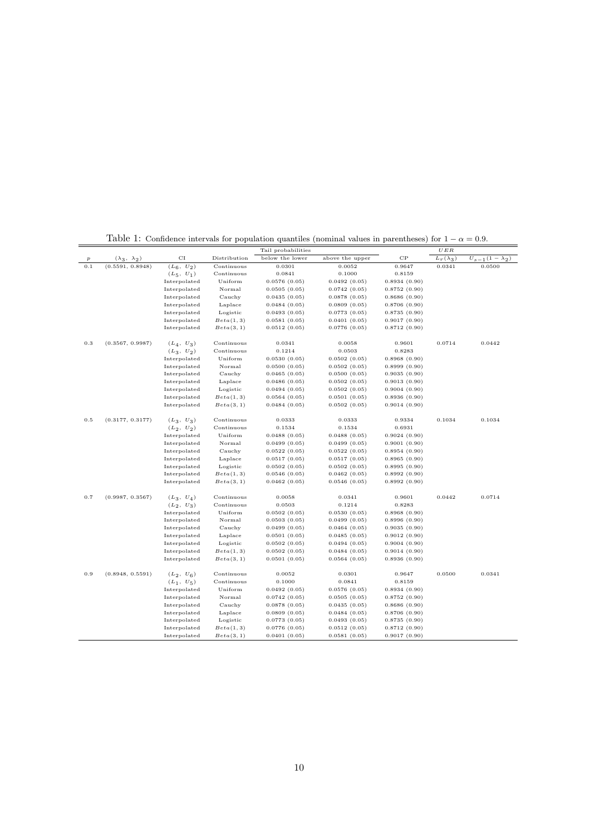|                  |                          |                              |                        | Tail probabilities           |                              |                              | $U\,E\,R$        |                          |
|------------------|--------------------------|------------------------------|------------------------|------------------------------|------------------------------|------------------------------|------------------|--------------------------|
| $\boldsymbol{p}$ | $(\lambda_3, \lambda_2)$ | $_{\rm CI}$                  | Distribution           | below the lower              | above the upper              | $_{\rm CP}$                  | $L_r(\lambda_3)$ | $U_{s-1}(1 - \lambda_2)$ |
| 0.1              | (0.5591, 0.8948)         | $(L_6, U_2)$                 | Continuous             | 0.0301                       | 0.0052                       | 0.9647                       | 0.0341           | 0.0500                   |
|                  |                          | $(L_5, U_1)$                 | Continuous             | 0.0841                       | 0.1000                       | 0.8159                       |                  |                          |
|                  |                          | Interpolated                 | Uniform                | 0.0576(0.05)                 | 0.0492(0.05)                 | 0.8934(0.90)                 |                  |                          |
|                  |                          | Interpolated                 | Normal                 | 0.0505(0.05)                 | 0.0742(0.05)                 | 0.8752(0.90)                 |                  |                          |
|                  |                          | Interpolated                 | Cauchy                 | 0.0435(0.05)                 | 0.0878(0.05)                 | 0.8686(0.90)                 |                  |                          |
|                  |                          | Interpolated                 | Laplace                | 0.0484(0.05)                 | 0.0809(0.05)                 | 0.8706(0.90)                 |                  |                          |
|                  |                          | Interpolated                 | Logistic               | 0.0493(0.05)                 | 0.0773(0.05)                 | 0.8735(0.90)                 |                  |                          |
|                  |                          | Interpolated                 | Beta(1, 3)             | 0.0581(0.05)                 | 0.0401(0.05)                 | 0.9017(0.90)                 |                  |                          |
|                  |                          | Interpolated                 | Beta(3, 1)             | 0.0512(0.05)                 | 0.0776(0.05)                 | 0.8712(0.90)                 |                  |                          |
| 0.3              | (0.3567, 0.9987)         | $(L_4, U_3)$                 | Continuous             | 0.0341                       | 0.0058                       | 0.9601                       | 0.0714           | 0.0442                   |
|                  |                          | $(L_3, U_2)$                 | Continuous             | 0.1214                       | 0.0503                       | 0.8283                       |                  |                          |
|                  |                          | Interpolated                 | Uniform                | 0.0530(0.05)                 | 0.0502(0.05)                 | 0.8968(0.90)                 |                  |                          |
|                  |                          | Interpolated                 | Normal                 | 0.0500(0.05)                 | 0.0502(0.05)                 | 0.8999(0.90)                 |                  |                          |
|                  |                          | Interpolated                 | Cauchy                 | 0.0465(0.05)                 | 0.0500(0.05)                 | 0.9035(0.90)                 |                  |                          |
|                  |                          | Interpolated                 | Laplace                | 0.0486(0.05)                 | 0.0502(0.05)                 | 0.9013(0.90)                 |                  |                          |
|                  |                          |                              |                        |                              |                              |                              |                  |                          |
|                  |                          | Interpolated<br>Interpolated | Logistic<br>Beta(1, 3) | 0.0494(0.05)<br>0.0564(0.05) | 0.0502(0.05)<br>0.0501(0.05) | 0.9004(0.90)<br>0.8936(0.90) |                  |                          |
|                  |                          | Interpolated                 | Beta(3, 1)             | 0.0484(0.05)                 | 0.0502(0.05)                 | 0.9014(0.90)                 |                  |                          |
|                  |                          |                              |                        |                              |                              |                              | 0.1034           |                          |
| 0.5              | (0.3177, 0.3177)         | $(L_3, U_3)$                 | Continuous             | 0.0333                       | 0.0333                       | 0.9334                       |                  | 0.1034                   |
|                  |                          | $(L_2, U_2)$                 | Continuous             | 0.1534                       | 0.1534                       | 0.6931                       |                  |                          |
|                  |                          | Interpolated                 | Uniform                | 0.0488(0.05)                 | 0.0488(0.05)                 | 0.9024(0.90)                 |                  |                          |
|                  |                          | Interpolated                 | Normal                 | 0.0499(0.05)                 | 0.0499(0.05)                 | 0.9001(0.90)                 |                  |                          |
|                  |                          | Interpolated                 | Cauchy                 | 0.0522(0.05)                 | 0.0522(0.05)                 | 0.8954(0.90)                 |                  |                          |
|                  |                          | Interpolated                 | Laplace                | 0.0517(0.05)                 | 0.0517(0.05)                 | 0.8965(0.90)                 |                  |                          |
|                  |                          | Interpolated                 | Logistic               | 0.0502(0.05)                 | 0.0502(0.05)                 | 0.8995(0.90)                 |                  |                          |
|                  |                          | Interpolated                 | Beta(1, 3)             | 0.0546(0.05)                 | 0.0462(0.05)                 | 0.8992(0.90)                 |                  |                          |
|                  |                          | Interpolated                 | Beta(3, 1)             | 0.0462(0.05)                 | 0.0546(0.05)                 | 0.8992(0.90)                 |                  |                          |
| 0.7              | (0.9987, 0.3567)         | $(L_3, U_4)$                 | Continuous             | 0.0058                       | 0.0341                       | 0.9601                       | 0.0442           | 0.0714                   |
|                  |                          | $(L_2, U_3)$                 | Continuous             | 0.0503                       | 0.1214                       | 0.8283                       |                  |                          |
|                  |                          | Interpolated                 | Uniform                | 0.0502(0.05)                 | 0.0530(0.05)                 | 0.8968(0.90)                 |                  |                          |
|                  |                          | Interpolated                 | Normal                 | 0.0503(0.05)                 | 0.0499(0.05)                 | 0.8996(0.90)                 |                  |                          |
|                  |                          | Interpolated                 | Cauchy                 | 0.0499(0.05)                 | 0.0464(0.05)                 | 0.9035(0.90)                 |                  |                          |
|                  |                          | Interpolated                 | Laplace                | 0.0501(0.05)                 | 0.0485(0.05)                 | 0.9012(0.90)                 |                  |                          |
|                  |                          | Interpolated                 | Logistic               | 0.0502(0.05)                 | 0.0494(0.05)                 | 0.9004(0.90)                 |                  |                          |
|                  |                          | Interpolated                 | Beta(1, 3)             | 0.0502(0.05)                 | 0.0484(0.05)                 | 0.9014(0.90)                 |                  |                          |
|                  |                          | Interpolated                 | Beta(3, 1)             | 0.0501(0.05)                 | 0.0564(0.05)                 | 0.8936(0.90)                 |                  |                          |
| 0.9              | (0.8948, 0.5591)         | $(L_2, U_6)$                 | Continuous             | 0.0052                       | 0.0301                       | 0.9647                       | 0.0500           | 0.0341                   |
|                  |                          | $(L_1, U_5)$                 | Continuous             | 0.1000                       | 0.0841                       | 0.8159                       |                  |                          |
|                  |                          | Interpolated                 | Uniform                | 0.0492(0.05)                 | 0.0576(0.05)                 | 0.8934(0.90)                 |                  |                          |
|                  |                          | Interpolated                 | Normal                 | 0.0742(0.05)                 | 0.0505(0.05)                 | 0.8752(0.90)                 |                  |                          |
|                  |                          | Interpolated                 | Cauchy                 | 0.0878(0.05)                 | 0.0435(0.05)                 | 0.8686(0.90)                 |                  |                          |
|                  |                          | Interpolated                 | Laplace                | 0.0809(0.05)                 | 0.0484(0.05)                 | 0.8706(0.90)                 |                  |                          |
|                  |                          | Interpolated                 | Logistic               | 0.0773(0.05)                 | 0.0493(0.05)                 | 0.8735(0.90)                 |                  |                          |
|                  |                          | Interpolated                 | Beta(1, 3)             | 0.0776(0.05)                 | 0.0512(0.05)                 | 0.8712(0.90)                 |                  |                          |
|                  |                          | Interpolated                 | Beta(3, 1)             | 0.0401(0.05)                 | 0.0581(0.05)                 | 0.9017(0.90)                 |                  |                          |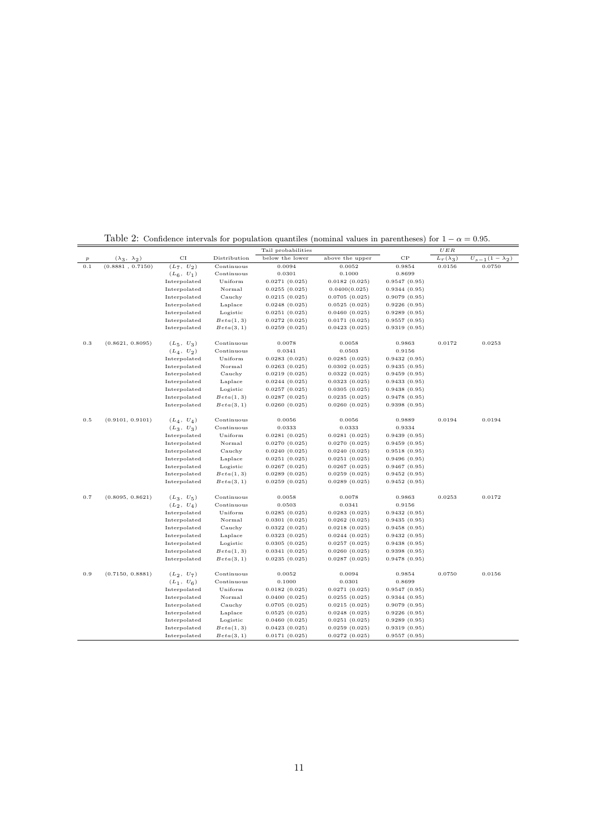|                  |                          |              |              | Tail probabilities |                 |              | UER              |                          |
|------------------|--------------------------|--------------|--------------|--------------------|-----------------|--------------|------------------|--------------------------|
| $\boldsymbol{p}$ | $(\lambda_3, \lambda_2)$ | CI           | Distribution | below the lower    | above the upper | $_{\rm CP}$  | $L_r(\lambda_3)$ | $U_{s-1}(1 - \lambda_2)$ |
| 0.1              | (0.8881, 0.7150)         | $(L_7, U_2)$ | Continuous   | 0.0094             | 0.0052          | 0.9854       | 0.0156           | 0.0750                   |
|                  |                          | $(L_6, U_1)$ | Continuous   | 0.0301             | 0.1000          | 0.8699       |                  |                          |
|                  |                          | Interpolated | Uniform      | 0.0271(0.025)      | 0.0182(0.025)   | 0.9547(0.95) |                  |                          |
|                  |                          | Interpolated | Normal       | 0.0255(0.025)      | 0.0400(0.025)   | 0.9344(0.95) |                  |                          |
|                  |                          | Interpolated | Cauchy       | 0.0215(0.025)      | 0.0705(0.025)   | 0.9079(0.95) |                  |                          |
|                  |                          | Interpolated | Laplace      | 0.0248(0.025)      | 0.0525(0.025)   | 0.9226(0.95) |                  |                          |
|                  |                          | Interpolated | Logistic     | 0.0251(0.025)      | 0.0460(0.025)   | 0.9289(0.95) |                  |                          |
|                  |                          | Interpolated | Beta(1, 3)   | 0.0272(0.025)      | 0.0171(0.025)   | 0.9557(0.95) |                  |                          |
|                  |                          | Interpolated | Beta(3, 1)   | 0.0259(0.025)      | 0.0423(0.025)   | 0.9319(0.95) |                  |                          |
| 0.3              | (0.8621, 0.8095)         | $(L_5, U_3)$ | Continuous   | 0.0078             | 0.0058          | 0.9863       | 0.0172           | 0.0253                   |
|                  |                          | $(L_4, U_2)$ | Continuous   | 0.0341             | 0.0503          | 0.9156       |                  |                          |
|                  |                          | Interpolated | Uniform      | 0.0283(0.025)      | 0.0285(0.025)   | 0.9432(0.95) |                  |                          |
|                  |                          | Interpolated | Normal       | 0.0263(0.025)      | 0.0302(0.025)   | 0.9435(0.95) |                  |                          |
|                  |                          | Interpolated | Cauchy       | 0.0219(0.025)      | 0.0322(0.025)   | 0.9459(0.95) |                  |                          |
|                  |                          | Interpolated | Laplace      | 0.0244(0.025)      | 0.0323(0.025)   | 0.9433(0.95) |                  |                          |
|                  |                          | Interpolated | Logistic     | 0.0257(0.025)      | 0.0305(0.025)   | 0.9438(0.95) |                  |                          |
|                  |                          | Interpolated | Beta(1, 3)   | 0.0287(0.025)      | 0.0235(0.025)   | 0.9478(0.95) |                  |                          |
|                  |                          | Interpolated | Beta(3, 1)   | 0.0260(0.025)      | 0.0260(0.025)   | 0.9398(0.95) |                  |                          |
| 0.5              | (0.9101, 0.9101)         | $(L_4, U_4)$ | Continuous   | 0.0056             | 0.0056          | 0.9889       | 0.0194           | 0.0194                   |
|                  |                          | $(L_3, U_3)$ | Continuous   | 0.0333             | 0.0333          | 0.9334       |                  |                          |
|                  |                          | Interpolated | Uniform      | 0.0281(0.025)      | 0.0281(0.025)   | 0.9439(0.95) |                  |                          |
|                  |                          | Interpolated | Normal       | 0.0270(0.025)      | 0.0270(0.025)   | 0.9459(0.95) |                  |                          |
|                  |                          | Interpolated | Cauchy       | 0.0240(0.025)      | 0.0240(0.025)   | 0.9518(0.95) |                  |                          |
|                  |                          | Interpolated | Laplace      | 0.0251(0.025)      | 0.0251(0.025)   | 0.9496(0.95) |                  |                          |
|                  |                          | Interpolated | Logistic     | 0.0267(0.025)      | 0.0267(0.025)   | 0.9467(0.95) |                  |                          |
|                  |                          | Interpolated | Beta(1, 3)   | 0.0289(0.025)      | 0.0259(0.025)   | 0.9452(0.95) |                  |                          |
|                  |                          | Interpolated | Beta(3, 1)   | 0.0259(0.025)      | 0.0289(0.025)   | 0.9452(0.95) |                  |                          |
| 0.7              | (0.8095, 0.8621)         | $(L_3, U_5)$ | Continuous   | 0.0058             | 0.0078          | 0.9863       | 0.0253           | 0.0172                   |
|                  |                          | $(L_2, U_4)$ | Continuous   | 0.0503             | 0.0341          | 0.9156       |                  |                          |
|                  |                          | Interpolated | Uniform      | 0.0285(0.025)      | 0.0283(0.025)   | 0.9432(0.95) |                  |                          |
|                  |                          | Interpolated | Normal       | 0.0301(0.025)      | 0.0262(0.025)   | 0.9435(0.95) |                  |                          |
|                  |                          | Interpolated | Cauchy       | 0.0322(0.025)      | 0.0218(0.025)   | 0.9458(0.95) |                  |                          |
|                  |                          | Interpolated | Laplace      | 0.0323(0.025)      | 0.0244(0.025)   | 0.9432(0.95) |                  |                          |
|                  |                          | Interpolated | Logistic     | 0.0305(0.025)      | 0.0257(0.025)   | 0.9438(0.95) |                  |                          |
|                  |                          | Interpolated | Beta(1, 3)   | 0.0341(0.025)      | 0.0260(0.025)   | 0.9398(0.95) |                  |                          |
|                  |                          | Interpolated | Beta(3, 1)   | 0.0235(0.025)      | 0.0287(0.025)   | 0.9478(0.95) |                  |                          |
| 0.9              | (0.7150, 0.8881)         | $(L_2, U_7)$ | Continuous   | 0.0052             | 0.0094          | 0.9854       | 0.0750           | 0.0156                   |
|                  |                          | $(L_1, U_6)$ | Continuous   | 0.1000             | 0.0301          | 0.8699       |                  |                          |
|                  |                          | Interpolated | Uniform      | 0.0182(0.025)      | 0.0271(0.025)   | 0.9547(0.95) |                  |                          |
|                  |                          | Interpolated | Normal       | 0.0400(0.025)      | 0.0255(0.025)   | 0.9344(0.95) |                  |                          |
|                  |                          | Interpolated | Cauchy       | 0.0705(0.025)      | 0.0215(0.025)   | 0.9079(0.95) |                  |                          |
|                  |                          | Interpolated | Laplace      | 0.0525(0.025)      | 0.0248(0.025)   | 0.9226(0.95) |                  |                          |
|                  |                          | Interpolated | Logistic     | 0.0460(0.025)      | 0.0251(0.025)   | 0.9289(0.95) |                  |                          |
|                  |                          | Interpolated | Beta(1, 3)   | 0.0423(0.025)      | 0.0259(0.025)   | 0.9319(0.95) |                  |                          |
|                  |                          | Interpolated | Beta(3, 1)   | 0.0171(0.025)      | 0.0272(0.025)   | 0.9557(0.95) |                  |                          |

Table 2: Confidence intervals for population quantiles (nominal values in parentheses) for  $1 - \alpha = 0.95$ .

 $\overline{a}$ 

 $=$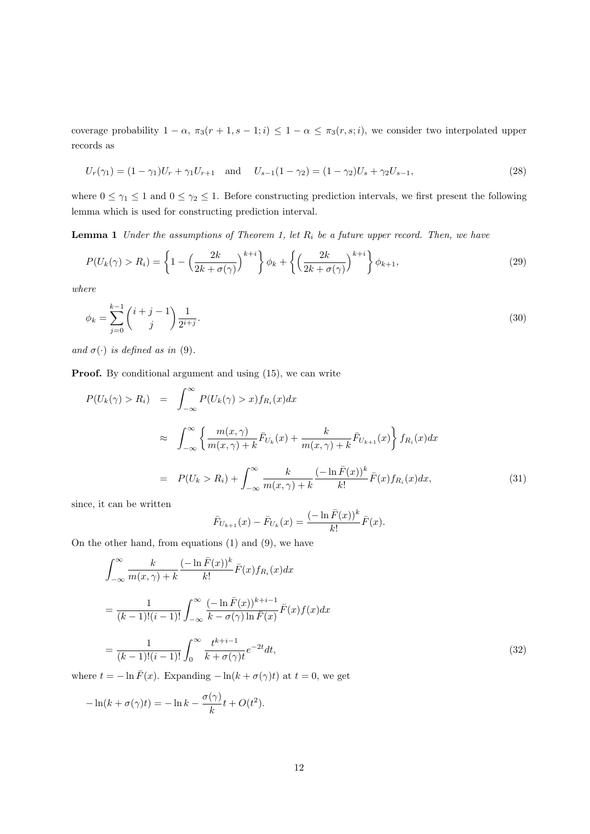coverage probability  $1 - \alpha$ ,  $\pi_3(r + 1, s - 1; i) \leq 1 - \alpha \leq \pi_3(r, s; i)$ , we consider two interpolated upper records as

$$
U_r(\gamma_1) = (1 - \gamma_1)U_r + \gamma_1 U_{r+1} \quad \text{and} \quad U_{s-1}(1 - \gamma_2) = (1 - \gamma_2)U_s + \gamma_2 U_{s-1},\tag{28}
$$

where  $0 \leq \gamma_1 \leq 1$  and  $0 \leq \gamma_2 \leq 1$ . Before constructing prediction intervals, we first present the following lemma which is used for constructing prediction interval.

**Lemma 1** *Under the assumptions of Theorem 1, let R<sup>i</sup> be a future upper record. Then, we have*

$$
P(U_k(\gamma) > R_i) = \left\{ 1 - \left(\frac{2k}{2k + \sigma(\gamma)}\right)^{k+i} \right\} \phi_k + \left\{ \left(\frac{2k}{2k + \sigma(\gamma)}\right)^{k+i} \right\} \phi_{k+1},\tag{29}
$$

*where*

$$
\phi_k = \sum_{j=0}^{k-1} \binom{i+j-1}{j} \frac{1}{2^{i+j}}.
$$
\n(30)

*and*  $\sigma(\cdot)$  *is defined as in* (9).

**Proof.** By conditional argument and using  $(15)$ , we can write

$$
P(U_k(\gamma) > R_i) = \int_{-\infty}^{\infty} P(U_k(\gamma) > x) f_{R_i}(x) dx
$$
  
\n
$$
\approx \int_{-\infty}^{\infty} \left\{ \frac{m(x, \gamma)}{m(x, \gamma) + k} \bar{F}_{U_k}(x) + \frac{k}{m(x, \gamma) + k} \bar{F}_{U_{k+1}}(x) \right\} f_{R_i}(x) dx
$$
  
\n
$$
= P(U_k > R_i) + \int_{-\infty}^{\infty} \frac{k}{m(x, \gamma) + k} \frac{(-\ln \bar{F}(x))^k}{k!} \bar{F}(x) f_{R_i}(x) dx,
$$
\n(31)

since, it can be written

$$
\bar{F}_{U_{k+1}}(x) - \bar{F}_{U_k}(x) = \frac{(-\ln \bar{F}(x))^k}{k!} \bar{F}(x).
$$

On the other hand, from equations (1) and (9), we have

$$
\int_{-\infty}^{\infty} \frac{k}{m(x,\gamma) + k} \frac{(-\ln \bar{F}(x))^k}{k!} \bar{F}(x) f_{R_i}(x) dx
$$
  
\n
$$
= \frac{1}{(k-1)!(i-1)!} \int_{-\infty}^{\infty} \frac{(-\ln \bar{F}(x))^{k+i-1}}{k - \sigma(\gamma) \ln \bar{F}(x)} \bar{F}(x) f(x) dx
$$
  
\n
$$
= \frac{1}{(k-1)!(i-1)!} \int_0^{\infty} \frac{t^{k+i-1}}{k + \sigma(\gamma)t} e^{-2t} dt,
$$
\n(32)

where  $t = -\ln \bar{F}(x)$ . Expanding  $-\ln(k + \sigma(\gamma)t)$  at  $t = 0$ , we get

$$
-\ln(k + \sigma(\gamma)t) = -\ln k - \frac{\sigma(\gamma)}{k}t + O(t^2).
$$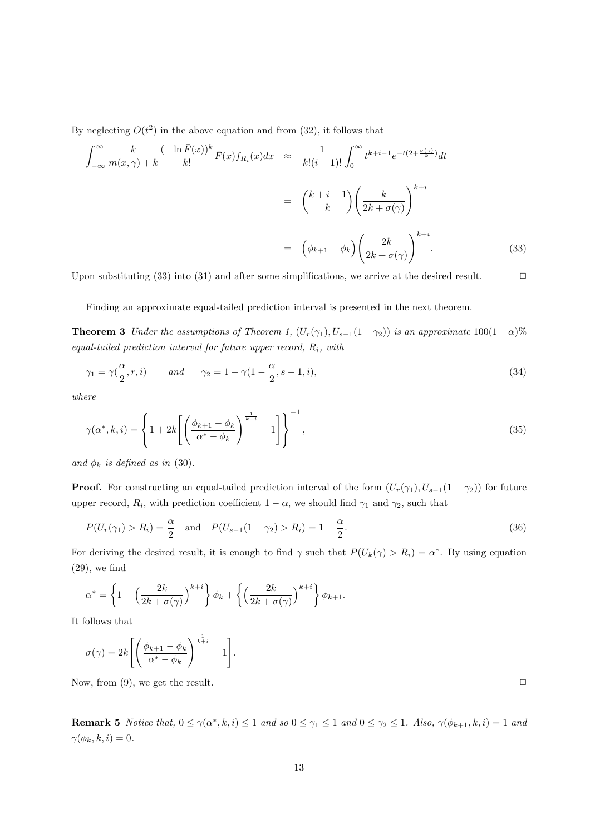By neglecting  $O(t^2)$  in the above equation and from  $(32)$ , it follows that

$$
\int_{-\infty}^{\infty} \frac{k}{m(x,\gamma) + k} \frac{(-\ln \bar{F}(x))^k}{k!} \bar{F}(x) f_{R_i}(x) dx \approx \frac{1}{k! (i-1)!} \int_0^{\infty} t^{k+i-1} e^{-t(2 + \frac{\sigma(\gamma)}{k})} dt
$$

$$
= \binom{k+i-1}{k} \left(\frac{k}{2k + \sigma(\gamma)}\right)^{k+i}
$$

$$
= \left(\phi_{k+1} - \phi_k\right) \left(\frac{2k}{2k + \sigma(\gamma)}\right)^{k+i} . \tag{33}
$$

Upon substituting (33) into (31) and after some simplifications, we arrive at the desired result.  $\Box$ 

Finding an approximate equal-tailed prediction interval is presented in the next theorem.

**Theorem 3** *Under the assumptions of Theorem 1,*  $(U_r(\gamma_1), U_{s-1}(1-\gamma_2))$  *is an approximate* 100(1 *−*  $\alpha$ )% *equal-tailed prediction interval for future upper record, Ri, with*

$$
\gamma_1 = \gamma(\frac{\alpha}{2}, r, i) \qquad \text{and} \qquad \gamma_2 = 1 - \gamma(1 - \frac{\alpha}{2}, s - 1, i), \tag{34}
$$

*where*

$$
\gamma(\alpha^*,k,i) = \left\{ 1 + 2k \left[ \left( \frac{\phi_{k+1} - \phi_k}{\alpha^* - \phi_k} \right)^{\frac{1}{k+i}} - 1 \right] \right\}^{-1},\tag{35}
$$

*and*  $\phi_k$  *is defined as in* (30)*.* 

**Proof.** For constructing an equal-tailed prediction interval of the form  $(U_r(\gamma_1), U_{s-1}(1 - \gamma_2))$  for future upper record,  $R_i$ , with prediction coefficient  $1 - \alpha$ , we should find  $\gamma_1$  and  $\gamma_2$ , such that

$$
P(U_r(\gamma_1) > R_i) = \frac{\alpha}{2} \quad \text{and} \quad P(U_{s-1}(1 - \gamma_2) > R_i) = 1 - \frac{\alpha}{2}.
$$
 (36)

For deriving the desired result, it is enough to find  $\gamma$  such that  $P(U_k(\gamma) > R_i) = \alpha^*$ . By using equation (29), we find

$$
\alpha^* = \left\{1 - \left(\frac{2k}{2k + \sigma(\gamma)}\right)^{k+i}\right\}\phi_k + \left\{\left(\frac{2k}{2k + \sigma(\gamma)}\right)^{k+i}\right\}\phi_{k+1}.
$$

It follows that

$$
\sigma(\gamma) = 2k \left[ \left( \frac{\phi_{k+1} - \phi_k}{\alpha^* - \phi_k} \right)^{\frac{1}{k+i}} - 1 \right].
$$

Now, from (9), we get the result.  $\Box$ 

**Remark 5** Notice that,  $0 \le \gamma(\alpha^*, k, i) \le 1$  and so  $0 \le \gamma_1 \le 1$  and  $0 \le \gamma_2 \le 1$ . Also,  $\gamma(\phi_{k+1}, k, i) = 1$  and  $\gamma(\phi_k, k, i) = 0.$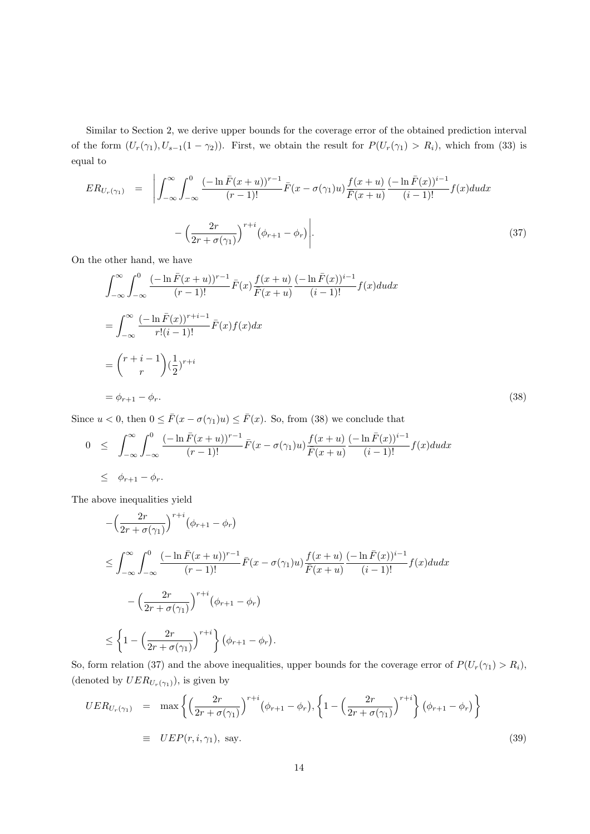Similar to Section 2, we derive upper bounds for the coverage error of the obtained prediction interval of the form  $(U_r(\gamma_1), U_{s-1}(1-\gamma_2))$ . First, we obtain the result for  $P(U_r(\gamma_1) > R_i)$ , which from (33) is equal to

$$
ER_{U_r(\gamma_1)} = \left| \int_{-\infty}^{\infty} \int_{-\infty}^{0} \frac{(-\ln \bar{F}(x+u))^{r-1}}{(r-1)!} \bar{F}(x-\sigma(\gamma_1)u) \frac{f(x+u)}{\bar{F}(x+u)} \frac{(-\ln \bar{F}(x))^{i-1}}{(i-1)!} f(x) du dx \right|
$$

$$
- \left( \frac{2r}{2r + \sigma(\gamma_1)} \right)^{r+i} \left( \phi_{r+1} - \phi_r \right) \left| . \right| \tag{37}
$$

On the other hand, we have

$$
\int_{-\infty}^{\infty} \int_{-\infty}^{0} \frac{(-\ln \bar{F}(x+u))^{r-1}}{(r-1)!} \bar{F}(x) \frac{f(x+u)}{\bar{F}(x+u)} \frac{(-\ln \bar{F}(x))^{i-1}}{(i-1)!} f(x) du dx
$$
  
\n
$$
= \int_{-\infty}^{\infty} \frac{(-\ln \bar{F}(x))^{r+i-1}}{r!(i-1)!} \bar{F}(x) f(x) dx
$$
  
\n
$$
= {r+i-1 \choose r} (\frac{1}{2})^{r+i}
$$
  
\n
$$
= \phi_{r+1} - \phi_r.
$$
 (38)

Since  $u < 0$ , then  $0 \le \bar{F}(x - \sigma(\gamma_1)u) \le \bar{F}(x)$ . So, from (38) we conclude that

$$
0 \leq \int_{-\infty}^{\infty} \int_{-\infty}^{0} \frac{(-\ln \bar{F}(x+u))^{r-1}}{(r-1)!} \bar{F}(x-\sigma(\gamma_1)u) \frac{f(x+u)}{\bar{F}(x+u)} \frac{(-\ln \bar{F}(x))^{i-1}}{(i-1)!} f(x) du dx
$$
  

$$
\leq \phi_{r+1} - \phi_r.
$$

The above inequalities yield

$$
-\left(\frac{2r}{2r+\sigma(\gamma_1)}\right)^{r+i}\left(\phi_{r+1}-\phi_r\right)
$$
  
\n
$$
\leq \int_{-\infty}^{\infty} \int_{-\infty}^{0} \frac{(-\ln \bar{F}(x+u))^{r-1}}{(r-1)!} \bar{F}(x-\sigma(\gamma_1)u) \frac{f(x+u)}{\bar{F}(x+u)} \frac{(-\ln \bar{F}(x))^{i-1}}{(i-1)!} f(x) du dx
$$
  
\n
$$
-\left(\frac{2r}{2r+\sigma(\gamma_1)}\right)^{r+i}\left(\phi_{r+1}-\phi_r\right)
$$
  
\n
$$
\leq \left\{1-\left(\frac{2r}{2r+\sigma(\gamma_1)}\right)^{r+i}\right\} \left(\phi_{r+1}-\phi_r\right).
$$

So, form relation (37) and the above inequalities, upper bounds for the coverage error of  $P(U_r(\gamma_1) > R_i)$ , (denoted by  $UER_{U_r(\gamma_1)}$ ), is given by

$$
UER_{U_r(\gamma_1)} = \max \left\{ \left( \frac{2r}{2r + \sigma(\gamma_1)} \right)^{r+i} \left( \phi_{r+1} - \phi_r \right), \left\{ 1 - \left( \frac{2r}{2r + \sigma(\gamma_1)} \right)^{r+i} \right\} \left( \phi_{r+1} - \phi_r \right) \right\}
$$
  
\n
$$
\equiv UEP(r, i, \gamma_1), \text{ say.}
$$
\n(39)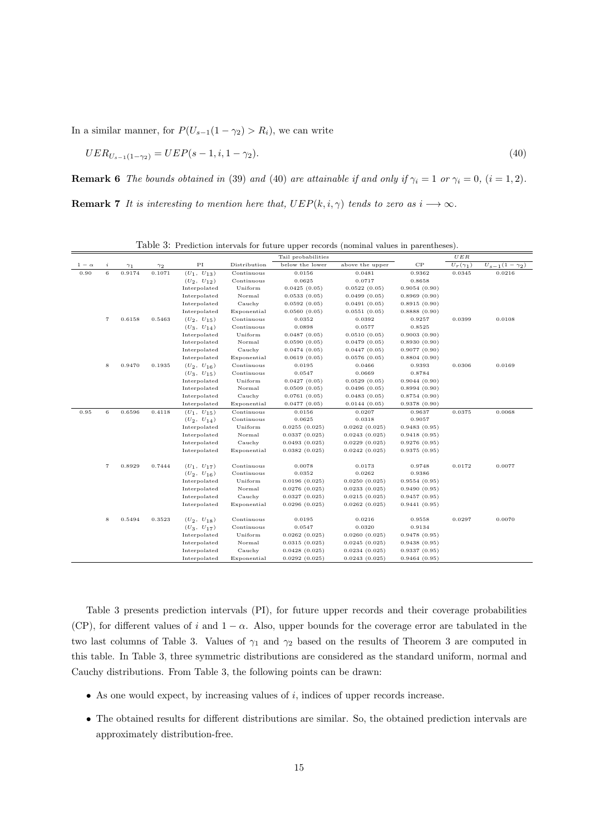In a similar manner, for  $P(U_{s-1}(1 - \gamma_2) > R_i)$ , we can write

$$
UER_{U_{s-1}(1-\gamma_2)} = UEP(s-1, i, 1-\gamma_2). \tag{40}
$$

**Remark 6** *The bounds obtained in* (39) *and* (40) *are attainable if and only if*  $\gamma_i = 1$  *or*  $\gamma_i = 0$ *,* (*i* = 1*,* 2)*.* 

**Remark 7** *It is interesting to mention here that,*  $UEP(k, i, \gamma)$  *tends to zero as*  $i \rightarrow \infty$ *.* 

| $_{\rm PI}$<br>$_{\rm CP}$<br>$\it i$<br>Distribution<br>below the lower<br>above the upper<br>$U_r(\gamma_1)$<br>$U_{s-1}(1 - \gamma_2)$<br>$1 - \alpha$<br>$\gamma_2$<br>$\gamma_1$<br>$\,$ 6<br>0.9174<br>0.1071<br>0.90<br>$(U_1, U_{13})$<br>Continuous<br>0.0156<br>0.0481<br>0.9362<br>0.0345<br>0.0216<br>Continuous<br>0.0625<br>0.0717<br>0.8658<br>$(U_2, U_{12})$<br>Interpolated<br>Uniform<br>0.0425(0.05)<br>0.0522(0.05)<br>0.9054(0.90)<br>Interpolated<br>Normal<br>0.0533(0.05)<br>0.0499(0.05)<br>0.8969(0.90)<br>Cauchy<br>Interpolated<br>0.0592(0.05)<br>0.0491(0.05)<br>0.8915(0.90)<br>Exponential<br>Interpolated<br>0.0560(0.05)<br>0.0551(0.05)<br>0.8888(0.90)<br>$\scriptstyle{7}$<br>0.0399<br>0.0108<br>0.6158<br>0.5463<br>Continuous<br>0.9257<br>$(U_2, U_{15})$<br>0.0352<br>0.0392<br>Continuous<br>0.0898<br>0.0577<br>0.8525<br>$(U_3, U_{14})$<br>Interpolated<br>Uniform<br>0.9003(0.90)<br>0.0487(0.05)<br>0.0510(0.05)<br>Interpolated<br>Normal<br>0.8930(0.90)<br>0.0590(0.05)<br>0.0479(0.05)<br>Interpolated<br>Cauchy<br>0.9077(0.90)<br>0.0474(0.05)<br>0.0447(0.05)<br>Interpolated<br>Exponential<br>0.0619(0.05)<br>0.0576(0.05)<br>0.8804(0.90)<br>8<br>0.9470<br>0.1935<br>Continuous<br>0.9393<br>0.0306<br>0.0169<br>$(U_2, U_{16})$<br>0.0195<br>0.0466<br>Continuous<br>0.0547<br>0.0669<br>0.8784<br>$(U_3, U_{15})$<br>Uniform<br>Interpolated<br>0.0427(0.05)<br>0.0529(0.05)<br>0.9044(0.90)<br>Interpolated<br>Normal<br>0.0509(0.05)<br>0.0496(0.05)<br>0.8994(0.90)<br>Interpolated<br>Cauchy<br>0.0761(0.05)<br>0.0483(0.05)<br>0.8754(0.90)<br>Exponential<br>Interpolated<br>0.0477(0.05)<br>0.0144(0.05)<br>0.9378(0.90)<br>0.95<br>6<br>0.6596<br>0.4118<br>0.0375<br>0.0068<br>$(U_1, U_{15})$<br>Continuous<br>0.0156<br>0.0207<br>0.9637<br>$(U_2, U_{14})$<br>Continuous<br>0.0625<br>0.0318<br>0.9057<br>Uniform<br>Interpolated<br>0.0255(0.025)<br>0.0262(0.025)<br>0.9483(0.95)<br>Interpolated<br>Normal<br>0.0337(0.025)<br>0.0243(0.025)<br>0.9418(0.95)<br>Interpolated<br>Cauchy<br>0.0493(0.025)<br>0.0229(0.025)<br>0.9276(0.95)<br>Exponential<br>0.0382(0.025)<br>0.0242(0.025)<br>0.9375(0.95)<br>Interpolated<br>0.7444<br>0.0172<br>$\overline{7}$<br>0.8929<br>$(U_1, U_{17})$<br>Continuous<br>0.0078<br>0.0173<br>0.9748<br>0.0077<br>0.0262<br>0.9386<br>$(U_2, U_{16})$<br>Continuous<br>0.0352<br>Interpolated<br>Uniform<br>0.0196(0.025)<br>0.0250(0.025)<br>0.9554(0.95)<br>Interpolated<br>Normal<br>0.0276(0.025)<br>0.0233(0.025)<br>0.9490(0.95)<br>Interpolated<br>Cauchy<br>0.0327(0.025)<br>0.0215(0.025)<br>0.9457(0.95)<br>Interpolated<br>Exponential<br>0.0296(0.025)<br>0.0262(0.025)<br>0.9441(0.95)<br>0.5494<br>8<br>0.3523<br>$(U_2, U_{18})$<br>Continuous<br>0.0195<br>0.0216<br>0.9558<br>0.0297<br>0.0070<br>$(U_3, U_{17})$<br>Continuous<br>0.0547<br>0.0320<br>0.9134<br>Interpolated<br>Uniform<br>0.0262(0.025)<br>0.0260(0.025)<br>0.9478(0.95)<br>Normal<br>Interpolated<br>0.0315(0.025)<br>0.0245(0.025)<br>0.9438(0.95) |  |  |              |        | Tail probabilities |               |              | $U\,E\,R$ |  |
|----------------------------------------------------------------------------------------------------------------------------------------------------------------------------------------------------------------------------------------------------------------------------------------------------------------------------------------------------------------------------------------------------------------------------------------------------------------------------------------------------------------------------------------------------------------------------------------------------------------------------------------------------------------------------------------------------------------------------------------------------------------------------------------------------------------------------------------------------------------------------------------------------------------------------------------------------------------------------------------------------------------------------------------------------------------------------------------------------------------------------------------------------------------------------------------------------------------------------------------------------------------------------------------------------------------------------------------------------------------------------------------------------------------------------------------------------------------------------------------------------------------------------------------------------------------------------------------------------------------------------------------------------------------------------------------------------------------------------------------------------------------------------------------------------------------------------------------------------------------------------------------------------------------------------------------------------------------------------------------------------------------------------------------------------------------------------------------------------------------------------------------------------------------------------------------------------------------------------------------------------------------------------------------------------------------------------------------------------------------------------------------------------------------------------------------------------------------------------------------------------------------------------------------------------------------------------------------------------------------------------------------------------------------------------------------------------------------------------------------------------------------------------------------------------------------------------------------------------------------------------------------------------------------------------------------------------------------------------------------------------------------------------------------------------------|--|--|--------------|--------|--------------------|---------------|--------------|-----------|--|
|                                                                                                                                                                                                                                                                                                                                                                                                                                                                                                                                                                                                                                                                                                                                                                                                                                                                                                                                                                                                                                                                                                                                                                                                                                                                                                                                                                                                                                                                                                                                                                                                                                                                                                                                                                                                                                                                                                                                                                                                                                                                                                                                                                                                                                                                                                                                                                                                                                                                                                                                                                                                                                                                                                                                                                                                                                                                                                                                                                                                                                                          |  |  |              |        |                    |               |              |           |  |
|                                                                                                                                                                                                                                                                                                                                                                                                                                                                                                                                                                                                                                                                                                                                                                                                                                                                                                                                                                                                                                                                                                                                                                                                                                                                                                                                                                                                                                                                                                                                                                                                                                                                                                                                                                                                                                                                                                                                                                                                                                                                                                                                                                                                                                                                                                                                                                                                                                                                                                                                                                                                                                                                                                                                                                                                                                                                                                                                                                                                                                                          |  |  |              |        |                    |               |              |           |  |
|                                                                                                                                                                                                                                                                                                                                                                                                                                                                                                                                                                                                                                                                                                                                                                                                                                                                                                                                                                                                                                                                                                                                                                                                                                                                                                                                                                                                                                                                                                                                                                                                                                                                                                                                                                                                                                                                                                                                                                                                                                                                                                                                                                                                                                                                                                                                                                                                                                                                                                                                                                                                                                                                                                                                                                                                                                                                                                                                                                                                                                                          |  |  |              |        |                    |               |              |           |  |
|                                                                                                                                                                                                                                                                                                                                                                                                                                                                                                                                                                                                                                                                                                                                                                                                                                                                                                                                                                                                                                                                                                                                                                                                                                                                                                                                                                                                                                                                                                                                                                                                                                                                                                                                                                                                                                                                                                                                                                                                                                                                                                                                                                                                                                                                                                                                                                                                                                                                                                                                                                                                                                                                                                                                                                                                                                                                                                                                                                                                                                                          |  |  |              |        |                    |               |              |           |  |
|                                                                                                                                                                                                                                                                                                                                                                                                                                                                                                                                                                                                                                                                                                                                                                                                                                                                                                                                                                                                                                                                                                                                                                                                                                                                                                                                                                                                                                                                                                                                                                                                                                                                                                                                                                                                                                                                                                                                                                                                                                                                                                                                                                                                                                                                                                                                                                                                                                                                                                                                                                                                                                                                                                                                                                                                                                                                                                                                                                                                                                                          |  |  |              |        |                    |               |              |           |  |
|                                                                                                                                                                                                                                                                                                                                                                                                                                                                                                                                                                                                                                                                                                                                                                                                                                                                                                                                                                                                                                                                                                                                                                                                                                                                                                                                                                                                                                                                                                                                                                                                                                                                                                                                                                                                                                                                                                                                                                                                                                                                                                                                                                                                                                                                                                                                                                                                                                                                                                                                                                                                                                                                                                                                                                                                                                                                                                                                                                                                                                                          |  |  |              |        |                    |               |              |           |  |
|                                                                                                                                                                                                                                                                                                                                                                                                                                                                                                                                                                                                                                                                                                                                                                                                                                                                                                                                                                                                                                                                                                                                                                                                                                                                                                                                                                                                                                                                                                                                                                                                                                                                                                                                                                                                                                                                                                                                                                                                                                                                                                                                                                                                                                                                                                                                                                                                                                                                                                                                                                                                                                                                                                                                                                                                                                                                                                                                                                                                                                                          |  |  |              |        |                    |               |              |           |  |
|                                                                                                                                                                                                                                                                                                                                                                                                                                                                                                                                                                                                                                                                                                                                                                                                                                                                                                                                                                                                                                                                                                                                                                                                                                                                                                                                                                                                                                                                                                                                                                                                                                                                                                                                                                                                                                                                                                                                                                                                                                                                                                                                                                                                                                                                                                                                                                                                                                                                                                                                                                                                                                                                                                                                                                                                                                                                                                                                                                                                                                                          |  |  |              |        |                    |               |              |           |  |
|                                                                                                                                                                                                                                                                                                                                                                                                                                                                                                                                                                                                                                                                                                                                                                                                                                                                                                                                                                                                                                                                                                                                                                                                                                                                                                                                                                                                                                                                                                                                                                                                                                                                                                                                                                                                                                                                                                                                                                                                                                                                                                                                                                                                                                                                                                                                                                                                                                                                                                                                                                                                                                                                                                                                                                                                                                                                                                                                                                                                                                                          |  |  |              |        |                    |               |              |           |  |
|                                                                                                                                                                                                                                                                                                                                                                                                                                                                                                                                                                                                                                                                                                                                                                                                                                                                                                                                                                                                                                                                                                                                                                                                                                                                                                                                                                                                                                                                                                                                                                                                                                                                                                                                                                                                                                                                                                                                                                                                                                                                                                                                                                                                                                                                                                                                                                                                                                                                                                                                                                                                                                                                                                                                                                                                                                                                                                                                                                                                                                                          |  |  |              |        |                    |               |              |           |  |
|                                                                                                                                                                                                                                                                                                                                                                                                                                                                                                                                                                                                                                                                                                                                                                                                                                                                                                                                                                                                                                                                                                                                                                                                                                                                                                                                                                                                                                                                                                                                                                                                                                                                                                                                                                                                                                                                                                                                                                                                                                                                                                                                                                                                                                                                                                                                                                                                                                                                                                                                                                                                                                                                                                                                                                                                                                                                                                                                                                                                                                                          |  |  |              |        |                    |               |              |           |  |
|                                                                                                                                                                                                                                                                                                                                                                                                                                                                                                                                                                                                                                                                                                                                                                                                                                                                                                                                                                                                                                                                                                                                                                                                                                                                                                                                                                                                                                                                                                                                                                                                                                                                                                                                                                                                                                                                                                                                                                                                                                                                                                                                                                                                                                                                                                                                                                                                                                                                                                                                                                                                                                                                                                                                                                                                                                                                                                                                                                                                                                                          |  |  |              |        |                    |               |              |           |  |
|                                                                                                                                                                                                                                                                                                                                                                                                                                                                                                                                                                                                                                                                                                                                                                                                                                                                                                                                                                                                                                                                                                                                                                                                                                                                                                                                                                                                                                                                                                                                                                                                                                                                                                                                                                                                                                                                                                                                                                                                                                                                                                                                                                                                                                                                                                                                                                                                                                                                                                                                                                                                                                                                                                                                                                                                                                                                                                                                                                                                                                                          |  |  |              |        |                    |               |              |           |  |
|                                                                                                                                                                                                                                                                                                                                                                                                                                                                                                                                                                                                                                                                                                                                                                                                                                                                                                                                                                                                                                                                                                                                                                                                                                                                                                                                                                                                                                                                                                                                                                                                                                                                                                                                                                                                                                                                                                                                                                                                                                                                                                                                                                                                                                                                                                                                                                                                                                                                                                                                                                                                                                                                                                                                                                                                                                                                                                                                                                                                                                                          |  |  |              |        |                    |               |              |           |  |
|                                                                                                                                                                                                                                                                                                                                                                                                                                                                                                                                                                                                                                                                                                                                                                                                                                                                                                                                                                                                                                                                                                                                                                                                                                                                                                                                                                                                                                                                                                                                                                                                                                                                                                                                                                                                                                                                                                                                                                                                                                                                                                                                                                                                                                                                                                                                                                                                                                                                                                                                                                                                                                                                                                                                                                                                                                                                                                                                                                                                                                                          |  |  |              |        |                    |               |              |           |  |
|                                                                                                                                                                                                                                                                                                                                                                                                                                                                                                                                                                                                                                                                                                                                                                                                                                                                                                                                                                                                                                                                                                                                                                                                                                                                                                                                                                                                                                                                                                                                                                                                                                                                                                                                                                                                                                                                                                                                                                                                                                                                                                                                                                                                                                                                                                                                                                                                                                                                                                                                                                                                                                                                                                                                                                                                                                                                                                                                                                                                                                                          |  |  |              |        |                    |               |              |           |  |
|                                                                                                                                                                                                                                                                                                                                                                                                                                                                                                                                                                                                                                                                                                                                                                                                                                                                                                                                                                                                                                                                                                                                                                                                                                                                                                                                                                                                                                                                                                                                                                                                                                                                                                                                                                                                                                                                                                                                                                                                                                                                                                                                                                                                                                                                                                                                                                                                                                                                                                                                                                                                                                                                                                                                                                                                                                                                                                                                                                                                                                                          |  |  |              |        |                    |               |              |           |  |
|                                                                                                                                                                                                                                                                                                                                                                                                                                                                                                                                                                                                                                                                                                                                                                                                                                                                                                                                                                                                                                                                                                                                                                                                                                                                                                                                                                                                                                                                                                                                                                                                                                                                                                                                                                                                                                                                                                                                                                                                                                                                                                                                                                                                                                                                                                                                                                                                                                                                                                                                                                                                                                                                                                                                                                                                                                                                                                                                                                                                                                                          |  |  |              |        |                    |               |              |           |  |
|                                                                                                                                                                                                                                                                                                                                                                                                                                                                                                                                                                                                                                                                                                                                                                                                                                                                                                                                                                                                                                                                                                                                                                                                                                                                                                                                                                                                                                                                                                                                                                                                                                                                                                                                                                                                                                                                                                                                                                                                                                                                                                                                                                                                                                                                                                                                                                                                                                                                                                                                                                                                                                                                                                                                                                                                                                                                                                                                                                                                                                                          |  |  |              |        |                    |               |              |           |  |
|                                                                                                                                                                                                                                                                                                                                                                                                                                                                                                                                                                                                                                                                                                                                                                                                                                                                                                                                                                                                                                                                                                                                                                                                                                                                                                                                                                                                                                                                                                                                                                                                                                                                                                                                                                                                                                                                                                                                                                                                                                                                                                                                                                                                                                                                                                                                                                                                                                                                                                                                                                                                                                                                                                                                                                                                                                                                                                                                                                                                                                                          |  |  |              |        |                    |               |              |           |  |
|                                                                                                                                                                                                                                                                                                                                                                                                                                                                                                                                                                                                                                                                                                                                                                                                                                                                                                                                                                                                                                                                                                                                                                                                                                                                                                                                                                                                                                                                                                                                                                                                                                                                                                                                                                                                                                                                                                                                                                                                                                                                                                                                                                                                                                                                                                                                                                                                                                                                                                                                                                                                                                                                                                                                                                                                                                                                                                                                                                                                                                                          |  |  |              |        |                    |               |              |           |  |
|                                                                                                                                                                                                                                                                                                                                                                                                                                                                                                                                                                                                                                                                                                                                                                                                                                                                                                                                                                                                                                                                                                                                                                                                                                                                                                                                                                                                                                                                                                                                                                                                                                                                                                                                                                                                                                                                                                                                                                                                                                                                                                                                                                                                                                                                                                                                                                                                                                                                                                                                                                                                                                                                                                                                                                                                                                                                                                                                                                                                                                                          |  |  |              |        |                    |               |              |           |  |
|                                                                                                                                                                                                                                                                                                                                                                                                                                                                                                                                                                                                                                                                                                                                                                                                                                                                                                                                                                                                                                                                                                                                                                                                                                                                                                                                                                                                                                                                                                                                                                                                                                                                                                                                                                                                                                                                                                                                                                                                                                                                                                                                                                                                                                                                                                                                                                                                                                                                                                                                                                                                                                                                                                                                                                                                                                                                                                                                                                                                                                                          |  |  |              |        |                    |               |              |           |  |
|                                                                                                                                                                                                                                                                                                                                                                                                                                                                                                                                                                                                                                                                                                                                                                                                                                                                                                                                                                                                                                                                                                                                                                                                                                                                                                                                                                                                                                                                                                                                                                                                                                                                                                                                                                                                                                                                                                                                                                                                                                                                                                                                                                                                                                                                                                                                                                                                                                                                                                                                                                                                                                                                                                                                                                                                                                                                                                                                                                                                                                                          |  |  |              |        |                    |               |              |           |  |
|                                                                                                                                                                                                                                                                                                                                                                                                                                                                                                                                                                                                                                                                                                                                                                                                                                                                                                                                                                                                                                                                                                                                                                                                                                                                                                                                                                                                                                                                                                                                                                                                                                                                                                                                                                                                                                                                                                                                                                                                                                                                                                                                                                                                                                                                                                                                                                                                                                                                                                                                                                                                                                                                                                                                                                                                                                                                                                                                                                                                                                                          |  |  |              |        |                    |               |              |           |  |
|                                                                                                                                                                                                                                                                                                                                                                                                                                                                                                                                                                                                                                                                                                                                                                                                                                                                                                                                                                                                                                                                                                                                                                                                                                                                                                                                                                                                                                                                                                                                                                                                                                                                                                                                                                                                                                                                                                                                                                                                                                                                                                                                                                                                                                                                                                                                                                                                                                                                                                                                                                                                                                                                                                                                                                                                                                                                                                                                                                                                                                                          |  |  |              |        |                    |               |              |           |  |
|                                                                                                                                                                                                                                                                                                                                                                                                                                                                                                                                                                                                                                                                                                                                                                                                                                                                                                                                                                                                                                                                                                                                                                                                                                                                                                                                                                                                                                                                                                                                                                                                                                                                                                                                                                                                                                                                                                                                                                                                                                                                                                                                                                                                                                                                                                                                                                                                                                                                                                                                                                                                                                                                                                                                                                                                                                                                                                                                                                                                                                                          |  |  |              |        |                    |               |              |           |  |
|                                                                                                                                                                                                                                                                                                                                                                                                                                                                                                                                                                                                                                                                                                                                                                                                                                                                                                                                                                                                                                                                                                                                                                                                                                                                                                                                                                                                                                                                                                                                                                                                                                                                                                                                                                                                                                                                                                                                                                                                                                                                                                                                                                                                                                                                                                                                                                                                                                                                                                                                                                                                                                                                                                                                                                                                                                                                                                                                                                                                                                                          |  |  |              |        |                    |               |              |           |  |
|                                                                                                                                                                                                                                                                                                                                                                                                                                                                                                                                                                                                                                                                                                                                                                                                                                                                                                                                                                                                                                                                                                                                                                                                                                                                                                                                                                                                                                                                                                                                                                                                                                                                                                                                                                                                                                                                                                                                                                                                                                                                                                                                                                                                                                                                                                                                                                                                                                                                                                                                                                                                                                                                                                                                                                                                                                                                                                                                                                                                                                                          |  |  |              |        |                    |               |              |           |  |
|                                                                                                                                                                                                                                                                                                                                                                                                                                                                                                                                                                                                                                                                                                                                                                                                                                                                                                                                                                                                                                                                                                                                                                                                                                                                                                                                                                                                                                                                                                                                                                                                                                                                                                                                                                                                                                                                                                                                                                                                                                                                                                                                                                                                                                                                                                                                                                                                                                                                                                                                                                                                                                                                                                                                                                                                                                                                                                                                                                                                                                                          |  |  |              |        |                    |               |              |           |  |
|                                                                                                                                                                                                                                                                                                                                                                                                                                                                                                                                                                                                                                                                                                                                                                                                                                                                                                                                                                                                                                                                                                                                                                                                                                                                                                                                                                                                                                                                                                                                                                                                                                                                                                                                                                                                                                                                                                                                                                                                                                                                                                                                                                                                                                                                                                                                                                                                                                                                                                                                                                                                                                                                                                                                                                                                                                                                                                                                                                                                                                                          |  |  |              |        |                    |               |              |           |  |
|                                                                                                                                                                                                                                                                                                                                                                                                                                                                                                                                                                                                                                                                                                                                                                                                                                                                                                                                                                                                                                                                                                                                                                                                                                                                                                                                                                                                                                                                                                                                                                                                                                                                                                                                                                                                                                                                                                                                                                                                                                                                                                                                                                                                                                                                                                                                                                                                                                                                                                                                                                                                                                                                                                                                                                                                                                                                                                                                                                                                                                                          |  |  |              |        |                    |               |              |           |  |
|                                                                                                                                                                                                                                                                                                                                                                                                                                                                                                                                                                                                                                                                                                                                                                                                                                                                                                                                                                                                                                                                                                                                                                                                                                                                                                                                                                                                                                                                                                                                                                                                                                                                                                                                                                                                                                                                                                                                                                                                                                                                                                                                                                                                                                                                                                                                                                                                                                                                                                                                                                                                                                                                                                                                                                                                                                                                                                                                                                                                                                                          |  |  |              |        |                    |               |              |           |  |
|                                                                                                                                                                                                                                                                                                                                                                                                                                                                                                                                                                                                                                                                                                                                                                                                                                                                                                                                                                                                                                                                                                                                                                                                                                                                                                                                                                                                                                                                                                                                                                                                                                                                                                                                                                                                                                                                                                                                                                                                                                                                                                                                                                                                                                                                                                                                                                                                                                                                                                                                                                                                                                                                                                                                                                                                                                                                                                                                                                                                                                                          |  |  |              |        |                    |               |              |           |  |
|                                                                                                                                                                                                                                                                                                                                                                                                                                                                                                                                                                                                                                                                                                                                                                                                                                                                                                                                                                                                                                                                                                                                                                                                                                                                                                                                                                                                                                                                                                                                                                                                                                                                                                                                                                                                                                                                                                                                                                                                                                                                                                                                                                                                                                                                                                                                                                                                                                                                                                                                                                                                                                                                                                                                                                                                                                                                                                                                                                                                                                                          |  |  |              |        |                    |               |              |           |  |
|                                                                                                                                                                                                                                                                                                                                                                                                                                                                                                                                                                                                                                                                                                                                                                                                                                                                                                                                                                                                                                                                                                                                                                                                                                                                                                                                                                                                                                                                                                                                                                                                                                                                                                                                                                                                                                                                                                                                                                                                                                                                                                                                                                                                                                                                                                                                                                                                                                                                                                                                                                                                                                                                                                                                                                                                                                                                                                                                                                                                                                                          |  |  |              |        |                    |               |              |           |  |
|                                                                                                                                                                                                                                                                                                                                                                                                                                                                                                                                                                                                                                                                                                                                                                                                                                                                                                                                                                                                                                                                                                                                                                                                                                                                                                                                                                                                                                                                                                                                                                                                                                                                                                                                                                                                                                                                                                                                                                                                                                                                                                                                                                                                                                                                                                                                                                                                                                                                                                                                                                                                                                                                                                                                                                                                                                                                                                                                                                                                                                                          |  |  | Interpolated | Cauchy | 0.0428(0.025)      | 0.0234(0.025) | 0.9337(0.95) |           |  |
| Exponential<br>Interpolated<br>0.0292(0.025)<br>0.0243(0.025)<br>0.9464(0.95)                                                                                                                                                                                                                                                                                                                                                                                                                                                                                                                                                                                                                                                                                                                                                                                                                                                                                                                                                                                                                                                                                                                                                                                                                                                                                                                                                                                                                                                                                                                                                                                                                                                                                                                                                                                                                                                                                                                                                                                                                                                                                                                                                                                                                                                                                                                                                                                                                                                                                                                                                                                                                                                                                                                                                                                                                                                                                                                                                                            |  |  |              |        |                    |               |              |           |  |

Table 3: Prediction intervals for future upper records (nominal values in parentheses).

Table 3 presents prediction intervals (PI), for future upper records and their coverage probabilities (CP), for different values of *i* and  $1 - \alpha$ . Also, upper bounds for the coverage error are tabulated in the two last columns of Table 3. Values of *γ*<sup>1</sup> and *γ*<sup>2</sup> based on the results of Theorem 3 are computed in this table. In Table 3, three symmetric distributions are considered as the standard uniform, normal and Cauchy distributions. From Table 3, the following points can be drawn:

- *•* As one would expect, by increasing values of *i*, indices of upper records increase.
- The obtained results for different distributions are similar. So, the obtained prediction intervals are approximately distribution-free.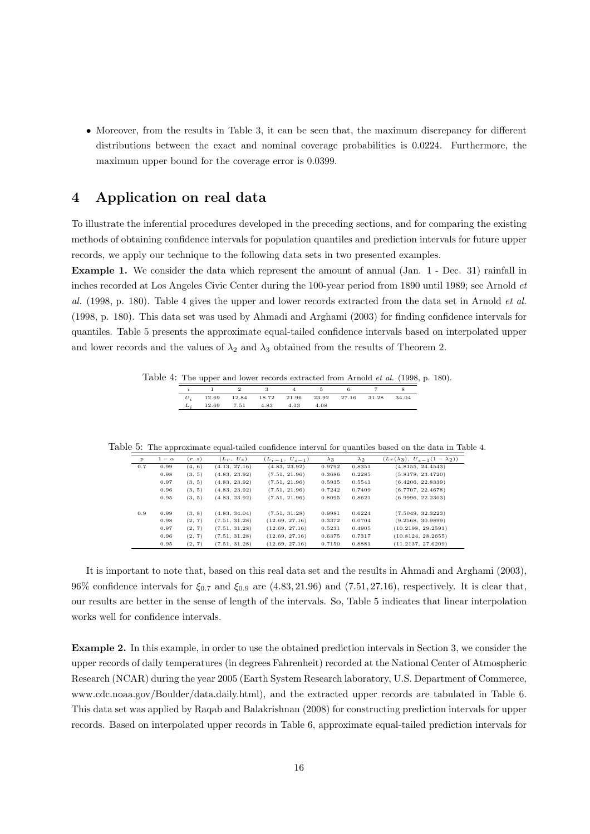• Moreover, from the results in Table 3, it can be seen that, the maximum discrepancy for different distributions between the exact and nominal coverage probabilities is 0.0224. Furthermore, the maximum upper bound for the coverage error is 0.0399.

## **4 Application on real data**

To illustrate the inferential procedures developed in the preceding sections, and for comparing the existing methods of obtaining confidence intervals for population quantiles and prediction intervals for future upper records, we apply our technique to the following data sets in two presented examples.

**Example 1.** We consider the data which represent the amount of annual (Jan. 1 - Dec. 31) rainfall in inches recorded at Los Angeles Civic Center during the 100-year period from 1890 until 1989; see Arnold *et al.* (1998, p. 180). Table 4 gives the upper and lower records extracted from the data set in Arnold *et al.* (1998, p. 180). This data set was used by Ahmadi and Arghami (2003) for finding confidence intervals for quantiles. Table 5 presents the approximate equal-tailed confidence intervals based on interpolated upper and lower records and the values of  $\lambda_2$  and  $\lambda_3$  obtained from the results of Theorem 2.

Table 4: The upper and lower records extracted from Arnold *et al.* (1998, p. 180).

|                                                       | $1 \qquad 2 \qquad 3 \qquad 4 \qquad 5 \qquad 6$ |  |  |  |
|-------------------------------------------------------|--------------------------------------------------|--|--|--|
| $U_i$ 12.69 12.84 18.72 21.96 23.92 27.16 31.28 34.04 |                                                  |  |  |  |
| $L_i$ 12.69 7.51 4.83 4.13 4.08                       |                                                  |  |  |  |

Table 5: The approximate equal-tailed confidence interval for quantiles based on the data in Table 4.

| $\boldsymbol{p}$ | $1-\alpha$ | (r, s) | $(L_r, U_s)$  | $(L_{r-1}, U_{s-1})$ | $\lambda_3$ | $\lambda_2$ | $(L_r(\lambda_3), U_{s-1}(1-\lambda_2))$ |
|------------------|------------|--------|---------------|----------------------|-------------|-------------|------------------------------------------|
| 0.7              | 0.99       | (4, 6) | (4.13, 27.16) | (4.83, 23.92)        | 0.9792      | 0.8351      | (4.8155, 24.4543)                        |
|                  | 0.98       | (3, 5) | (4.83, 23.92) | (7.51, 21.96)        | 0.3686      | 0.2285      | (5.8178, 23.4720)                        |
|                  | 0.97       | (3, 5) | (4.83, 23.92) | (7.51, 21.96)        | 0.5935      | 0.5541      | (6.4206, 22.8339)                        |
|                  | 0.96       | (3, 5) | (4.83, 23.92) | (7.51, 21.96)        | 0.7242      | 0.7409      | (6.7707, 22.4678)                        |
|                  | 0.95       | (3, 5) | (4.83, 23.92) | (7.51, 21.96)        | 0.8095      | 0.8621      | (6.9996, 22.2303)                        |
| 0.9              | 0.99       | (3, 8) | (4.83, 34.04) | (7.51, 31.28)        | 0.9981      | 0.6224      | (7.5049, 32.3223)                        |
|                  | 0.98       | (2, 7) | (7.51, 31.28) | (12.69, 27.16)       | 0.3372      | 0.0704      | (9.2568, 30.9899)                        |
|                  | 0.97       | (2, 7) | (7.51, 31.28) | (12.69, 27.16)       | 0.5231      | 0.4905      | (10.2198, 29.2591)                       |
|                  | 0.96       | (2, 7) | (7.51, 31.28) | (12.69, 27.16)       | 0.6375      | 0.7317      | (10.8124, 28.2655)                       |
|                  | 0.95       | (2, 7) | (7.51, 31.28) | (12.69, 27.16)       | 0.7150      | 0.8881      | (11.2137, 27.6209)                       |

It is important to note that, based on this real data set and the results in Ahmadi and Arghami (2003), 96% confidence intervals for *ξ*0*.*<sup>7</sup> and *ξ*0*.*<sup>9</sup> are (4*.*83*,* 21*.*96) and (7*.*51*,* 27*.*16), respectively. It is clear that, our results are better in the sense of length of the intervals. So, Table 5 indicates that linear interpolation works well for confidence intervals.

**Example 2.** In this example, in order to use the obtained prediction intervals in Section 3, we consider the upper records of daily temperatures (in degrees Fahrenheit) recorded at the National Center of Atmospheric Research (NCAR) during the year 2005 (Earth System Research laboratory, U.S. Department of Commerce, www.cdc.noaa.gov/Boulder/data.daily.html), and the extracted upper records are tabulated in Table 6. This data set was applied by Raqab and Balakrishnan (2008) for constructing prediction intervals for upper records. Based on interpolated upper records in Table 6, approximate equal-tailed prediction intervals for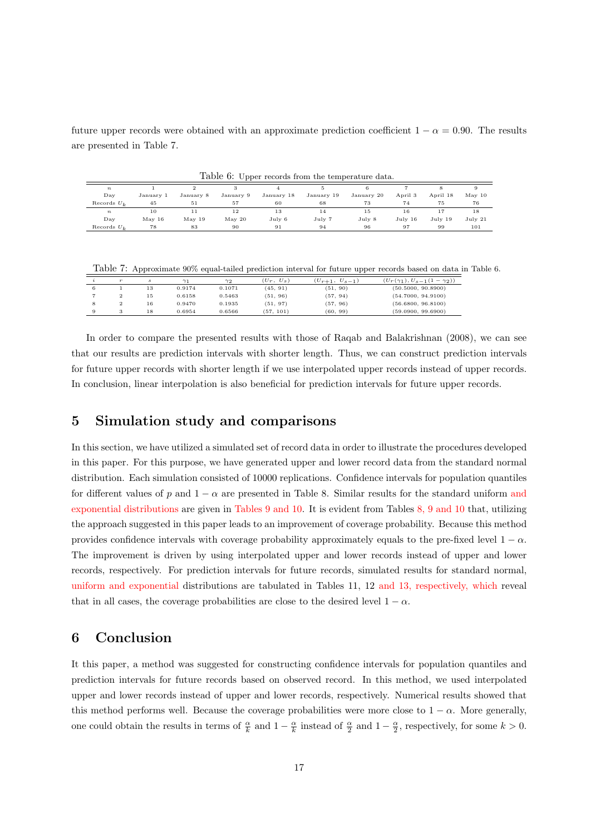future upper records were obtained with an approximate prediction coefficient  $1 - \alpha = 0.90$ . The results are presented in Table 7.

|                  | Table 0: Upper records from the temperature data. |                 |                  |                      |            |            |         |          |                  |  |  |  |  |
|------------------|---------------------------------------------------|-----------------|------------------|----------------------|------------|------------|---------|----------|------------------|--|--|--|--|
| $\boldsymbol{n}$ |                                                   |                 |                  |                      |            |            |         |          |                  |  |  |  |  |
| $_{\rm Dav}$     | January 1                                         | January 8       | January 9        | January 18           | January 19 | January 20 | April 3 | April 18 | $\text{May } 10$ |  |  |  |  |
| Records $U_L$    | 45                                                | 51              | 57               | 60                   | 68         | 73         | 74      | 75       | 76               |  |  |  |  |
| $\boldsymbol{n}$ | 10                                                |                 | 12               | 13                   | 14         | 15         | 16      | 17       | 18               |  |  |  |  |
| Dav              | $\text{Mav}$ 16                                   | $\text{Mav}$ 19 | $\text{Mav } 20$ | $_{\mathrm{Julv}}$ 6 | July 7     | July 8     | July 16 | July 19  | July 21          |  |  |  |  |
| Records $U_L$    | 78                                                | 83              | 90               | 91                   | 94         | 96         | 97      | 99       | 101              |  |  |  |  |

Table 6: Upper records from the temperature data.

Table 7: Approximate 90% equal-tailed prediction interval for future upper records based on data in Table 6.

|   | $\sim$ |    |        | $\gamma_2$ | $U_{\rm s}$<br>$(U_r,$ | $(U_{r+1}, U_{s-1})$ | $(U_r(\gamma_1), U_{s-1}(1-\gamma_2))$ |
|---|--------|----|--------|------------|------------------------|----------------------|----------------------------------------|
|   |        | 13 | 0.9174 | 0.1071     | (45, 91)               | (51, 90)             | (50.5000, 90.8900)                     |
|   |        | 15 | 0.6158 | 0.5463     | (51, 96)               | (57, 94)             | (54.7000, 94.9100)                     |
| 8 | 2      | 16 | 0.9470 | 0.1935     | (51, 97)               | (57, 96)             | (56.6800, 96.8100)                     |
|   | 3      | 18 | 0.6954 | 0.6566     | (57, 101)              | (60, 99)             | (59.0900, 99.6900)                     |

In order to compare the presented results with those of Raqab and Balakrishnan (2008), we can see that our results are prediction intervals with shorter length. Thus, we can construct prediction intervals for future upper records with shorter length if we use interpolated upper records instead of upper records. In conclusion, linear interpolation is also beneficial for prediction intervals for future upper records.

#### **5 Simulation study and comparisons**

In this section, we have utilized a simulated set of record data in order to illustrate the procedures developed in this paper. For this purpose, we have generated upper and lower record data from the standard normal distribution. Each simulation consisted of 10000 replications. Confidence intervals for population quantiles for different values of *p* and  $1 - \alpha$  are presented in Table 8. Similar results for the standard uniform and exponential distributions are given in Tables 9 and 10. It is evident from Tables 8, 9 and 10 that, utilizing the approach suggested in this paper leads to an improvement of coverage probability. Because this method provides confidence intervals with coverage probability approximately equals to the pre-fixed level  $1 - \alpha$ . The improvement is driven by using interpolated upper and lower records instead of upper and lower records, respectively. For prediction intervals for future records, simulated results for standard normal, uniform and exponential distributions are tabulated in Tables 11, 12 and 13, respectively, which reveal that in all cases, the coverage probabilities are close to the desired level  $1 - \alpha$ .

#### **6 Conclusion**

It this paper, a method was suggested for constructing confidence intervals for population quantiles and prediction intervals for future records based on observed record. In this method, we used interpolated upper and lower records instead of upper and lower records, respectively. Numerical results showed that this method performs well. Because the coverage probabilities were more close to  $1 - \alpha$ . More generally, one could obtain the results in terms of  $\frac{\alpha}{k}$  and  $1 - \frac{\alpha}{k}$  instead of  $\frac{\alpha}{2}$  and  $1 - \frac{\alpha}{2}$ , respectively, for some  $k > 0$ .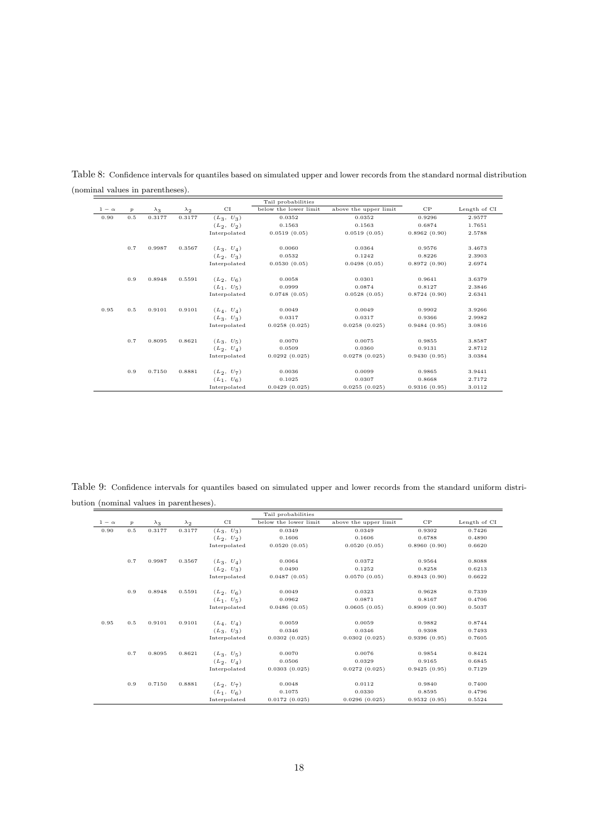|            |                  |             |             |              | Tail probabilities    |                       |              |              |
|------------|------------------|-------------|-------------|--------------|-----------------------|-----------------------|--------------|--------------|
| $1-\alpha$ | $\boldsymbol{p}$ | $\lambda_3$ | $\lambda_2$ | CI           | below the lower limit | above the upper limit | CP           | Length of CI |
| 0.90       | 0.5              | 0.3177      | 0.3177      | $(L_3, U_3)$ | 0.0352                | 0.0352                | 0.9296       | 2.9577       |
|            |                  |             |             | $(L_2, U_2)$ | 0.1563                | 0.1563                | 0.6874       | 1.7651       |
|            |                  |             |             | Interpolated | 0.0519(0.05)          | 0.0519(0.05)          | 0.8962(0.90) | 2.5788       |
|            | 0.7              | 0.9987      | 0.3567      | $(L_3, U_4)$ | 0.0060                | 0.0364                | 0.9576       | 3.4673       |
|            |                  |             |             | $(L_2, U_3)$ | 0.0532                | 0.1242                | 0.8226       | 2.3903       |
|            |                  |             |             | Interpolated | 0.0530(0.05)          | 0.0498(0.05)          | 0.8972(0.90) | 2.6974       |
|            | 0.9              | 0.8948      | 0.5591      | $(L_2, U_6)$ | 0.0058                | 0.0301                | 0.9641       | 3.6379       |
|            |                  |             |             | $(L_1, U_5)$ | 0.0999                | 0.0874                | 0.8127       | 2.3846       |
|            |                  |             |             | Interpolated | 0.0748(0.05)          | 0.0528(0.05)          | 0.8724(0.90) | 2.6341       |
| 0.95       | 0.5              | 0.9101      | 0.9101      | $(L_4, U_4)$ | 0.0049                | 0.0049                | 0.9902       | 3.9266       |
|            |                  |             |             | $(L_3, U_3)$ | 0.0317                | 0.0317                | 0.9366       | 2.9982       |
|            |                  |             |             | Interpolated | 0.0258(0.025)         | 0.0258(0.025)         | 0.9484(0.95) | 3.0816       |
|            | 0.7              | 0.8095      | 0.8621      | $(L_3, U_5)$ | 0.0070                | 0.0075                | 0.9855       | 3.8587       |
|            |                  |             |             | $(L_2, U_4)$ | 0.0509                | 0.0360                | 0.9131       | 2.8712       |
|            |                  |             |             | Interpolated | 0.0292(0.025)         | 0.0278(0.025)         | 0.9430(0.95) | 3.0384       |
|            | 0.9              | 0.7150      | 0.8881      | $(L_2, U_7)$ | 0.0036                | 0.0099                | 0.9865       | 3.9441       |
|            |                  |             |             | $(L_1, U_6)$ | 0.1025                | 0.0307                | 0.8668       | 2.7172       |
|            |                  |             |             | Interpolated | 0.0429(0.025)         | 0.0255(0.025)         | 0.9316(0.95) | 3.0112       |

Table 8: Confidence intervals for quantiles based on simulated upper and lower records from the standard normal distribution (nominal values in parentheses).

Table 9: Confidence intervals for quantiles based on simulated upper and lower records from the standard uniform distribution (nominal values in parentheses).

|            |                  |             |             |              | Tail probabilities    |                       |              |              |
|------------|------------------|-------------|-------------|--------------|-----------------------|-----------------------|--------------|--------------|
| $1-\alpha$ | $\boldsymbol{p}$ | $\lambda_3$ | $\lambda_2$ | CI           | below the lower limit | above the upper limit | CP           | Length of CI |
| 0.90       | 0.5              | 0.3177      | 0.3177      | $(L_3, U_3)$ | 0.0349                | 0.0349                | 0.9302       | 0.7426       |
|            |                  |             |             | $(L_2, U_2)$ | 0.1606                | 0.1606                | 0.6788       | 0.4890       |
|            |                  |             |             | Interpolated | 0.0520(0.05)          | 0.0520(0.05)          | 0.8960(0.90) | 0.6620       |
|            | 0.7              | 0.9987      | 0.3567      | $(L_3, U_4)$ | 0.0064                | 0.0372                | 0.9564       | 0.8088       |
|            |                  |             |             | $(L_2, U_3)$ | 0.0490                | 0.1252                | 0.8258       | 0.6213       |
|            |                  |             |             | Interpolated | 0.0487(0.05)          | 0.0570(0.05)          | 0.8943(0.90) | 0.6622       |
|            | 0.9              | 0.8948      | 0.5591      | $(L_2, U_6)$ | 0.0049                | 0.0323                | 0.9628       | 0.7339       |
|            |                  |             |             | $(L_1, U_5)$ | 0.0962                | 0.0871                | 0.8167       | 0.4706       |
|            |                  |             |             | Interpolated | 0.0486(0.05)          | 0.0605(0.05)          | 0.8909(0.90) | 0.5037       |
| 0.95       | 0.5              | 0.9101      | 0.9101      | $(L_4, U_4)$ | 0.0059                | 0.0059                | 0.9882       | 0.8744       |
|            |                  |             |             | $(L_3, U_3)$ | 0.0346                | 0.0346                | 0.9308       | 0.7493       |
|            |                  |             |             | Interpolated | 0.0302(0.025)         | 0.0302(0.025)         | 0.9396(0.95) | 0.7605       |
|            | 0.7              | 0.8095      | 0.8621      | $(L_3, U_5)$ | 0.0070                | 0.0076                | 0.9854       | 0.8424       |
|            |                  |             |             | $(L_2, U_4)$ | 0.0506                | 0.0329                | 0.9165       | 0.6845       |
|            |                  |             |             | Interpolated | 0.0303(0.025)         | 0.0272(0.025)         | 0.9425(0.95) | 0.7129       |
|            | 0.9              | 0.7150      | 0.8881      | $(L_2, U_7)$ | 0.0048                | 0.0112                | 0.9840       | 0.7400       |
|            |                  |             |             | $(L_1, U_6)$ | 0.1075                | 0.0330                | 0.8595       | 0.4796       |
|            |                  |             |             | Interpolated | 0.0172(0.025)         | 0.0296(0.025)         | 0.9532(0.95) | 0.5524       |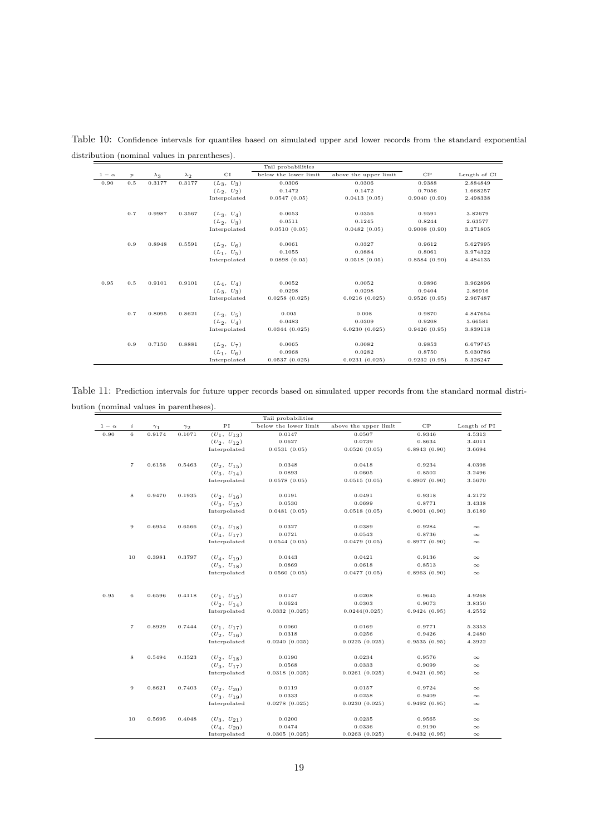|            |                  |             |             |              | Tail probabilities    |                       |              |              |
|------------|------------------|-------------|-------------|--------------|-----------------------|-----------------------|--------------|--------------|
| $1-\alpha$ | $\boldsymbol{p}$ | $\lambda_3$ | $\lambda_2$ | CI           | below the lower limit | above the upper limit | CP           | Length of CI |
| 0.90       | 0.5              | 0.3177      | 0.3177      | $(L_3, U_3)$ | 0.0306                | 0.0306                | 0.9388       | 2.884849     |
|            |                  |             |             | $(L_2, U_2)$ | 0.1472                | 0.1472                | 0.7056       | 1.668257     |
|            |                  |             |             | Interpolated | 0.0547(0.05)          | 0.0413(0.05)          | 0.9040(0.90) | 2.498338     |
|            | 0.7              | 0.9987      | 0.3567      | $(L_3, U_4)$ | 0.0053                | 0.0356                | 0.9591       | 3.82679      |
|            |                  |             |             | $(L_2, U_3)$ | 0.0511                | 0.1245                | 0.8244       | 2.63577      |
|            |                  |             |             | Interpolated | 0.0510(0.05)          | 0.0482(0.05)          | 0.9008(0.90) | 3.271805     |
|            | 0.9              | 0.8948      | 0.5591      | $(L_2, U_6)$ | 0.0061                | 0.0327                | 0.9612       | 5.627995     |
|            |                  |             |             | $(L_1, U_5)$ | 0.1055                | 0.0884                | 0.8061       | 3.974322     |
|            |                  |             |             | Interpolated | 0.0898(0.05)          | 0.0518(0.05)          | 0.8584(0.90) | 4.484135     |
| 0.95       | 0.5              | 0.9101      | 0.9101      | $(L_4, U_4)$ | 0.0052                | 0.0052                | 0.9896       | 3.962896     |
|            |                  |             |             | $(L_3, U_3)$ | 0.0298                | 0.0298                | 0.9404       | 2.86916      |
|            |                  |             |             | Interpolated | 0.0258(0.025)         | 0.0216(0.025)         | 0.9526(0.95) | 2.967487     |
|            | 0.7              | 0.8095      | 0.8621      | $(L_3, U_5)$ | 0.005                 | 0.008                 | 0.9870       | 4.847654     |
|            |                  |             |             | $(L_2, U_4)$ | 0.0483                | 0.0309                | 0.9208       | 3.66581      |
|            |                  |             |             | Interpolated | 0.0344(0.025)         | 0.0230(0.025)         | 0.9426(0.95) | 3.839118     |
|            | 0.9              | 0.7150      | 0.8881      | $(L_2, U_7)$ | 0.0065                | 0.0082                | 0.9853       | 6.679745     |
|            |                  |             |             | $(L_1, U_6)$ | 0.0968                | 0.0282                | 0.8750       | 5.030786     |
|            |                  |             |             | Interpolated | 0.0537(0.025)         | 0.0231(0.025)         | 0.9232(0.95) | 5.326247     |

Table 10: Confidence intervals for quantiles based on simulated upper and lower records from the standard exponential distribution (nominal values in parentheses).

Table 11: Prediction intervals for future upper records based on simulated upper records from the standard normal distribution (nominal values in parentheses).

|              |                |            |            |                 | Tail probabilities    |                       |              |              |
|--------------|----------------|------------|------------|-----------------|-----------------------|-----------------------|--------------|--------------|
| $1 - \alpha$ | i              | $\gamma_1$ | $\gamma_2$ | PI              | below the lower limit | above the upper limit | CP           | Length of PI |
| 0.90         | 6              | 0.9174     | 0.1071     | $(U_1, U_{13})$ | 0.0147                | 0.0507                | 0.9346       | 4.5313       |
|              |                |            |            | $(U_2, U_{12})$ | 0.0627                | 0.0739                | 0.8634       | 3.4011       |
|              |                |            |            | Interpolated    | 0.0531(0.05)          | 0.0526(0.05)          | 0.8943(0.90) | 3.6694       |
|              | $\overline{7}$ | 0.6158     | 0.5463     | $(U_2, U_{15})$ | 0.0348                | 0.0418                | 0.9234       | 4.0398       |
|              |                |            |            | $(U_3, U_{14})$ | 0.0893                | 0.0605                | 0.8502       | 3.2496       |
|              |                |            |            | Interpolated    | 0.0578(0.05)          | 0.0515(0.05)          | 0.8907(0.90) | 3.5670       |
|              | 8              | 0.9470     | 0.1935     | $(U_2, U_{16})$ | 0.0191                | 0.0491                | 0.9318       | 4.2172       |
|              |                |            |            | $(U_3, U_{15})$ | 0.0530                | 0.0699                | 0.8771       | 3.4338       |
|              |                |            |            | Interpolated    | 0.0481(0.05)          | 0.0518(0.05)          | 0.9001(0.90) | 3.6189       |
|              | $\,9$          | 0.6954     | 0.6566     | $(U_3, U_{18})$ | 0.0327                | 0.0389                | 0.9284       | $\infty$     |
|              |                |            |            | $(U_4, U_{17})$ | 0.0721                | 0.0543                | 0.8736       | $\infty$     |
|              |                |            |            | Interpolated    | 0.0544(0.05)          | 0.0479(0.05)          | 0.8977(0.90) | $\infty$     |
|              | 10             | 0.3981     | 0.3797     | $(U_4, U_{19})$ | 0.0443                | 0.0421                | 0.9136       | $\infty$     |
|              |                |            |            | $(U_5, U_{18})$ | 0.0869                | 0.0618                | 0.8513       | $\infty$     |
|              |                |            |            | Interpolated    | 0.0560(0.05)          | 0.0477(0.05)          | 0.8963(0.90) | $\infty$     |
| 0.95         | 6              | 0.6596     | 0.4118     | $(U_1, U_{15})$ | 0.0147                | 0.0208                | 0.9645       | 4.9268       |
|              |                |            |            | $(U_2, U_{14})$ | 0.0624                | 0.0303                | 0.9073       | 3.8350       |
|              |                |            |            | Interpolated    | 0.0332(0.025)         | 0.0244(0.025)         | 0.9424(0.95) | 4.2552       |
|              |                |            |            |                 |                       |                       |              |              |
|              | $\overline{7}$ | 0.8929     | 0.7444     | $(U_1, U_{17})$ | 0.0060                | 0.0169                | 0.9771       | 5.3353       |
|              |                |            |            | $(U_2, U_{16})$ | 0.0318                | 0.0256                | 0.9426       | 4.2480       |
|              |                |            |            | Interpolated    | 0.0240(0.025)         | 0.0225(0.025)         | 0.9535(0.95) | 4.3922       |
|              | 8              | 0.5494     | 0.3523     | $(U_2, U_{18})$ | 0.0190                | 0.0234                | 0.9576       | $\infty$     |
|              |                |            |            | $(U_3, U_{17})$ | 0.0568                | 0.0333                | 0.9099       | $\infty$     |
|              |                |            |            | Interpolated    | 0.0318(0.025)         | 0.0261(0.025)         | 0.9421(0.95) | $\infty$     |
|              | 9              | 0.8621     | 0.7403     | $(U_2, U_{20})$ | 0.0119                | 0.0157                | 0.9724       | $\infty$     |
|              |                |            |            | $(U_3, U_{19})$ | 0.0333                | 0.0258                | 0.9409       | $\infty$     |
|              |                |            |            | Interpolated    | 0.0278(0.025)         | 0.0230(0.025)         | 0.9492(0.95) | $\infty$     |
|              | 10             | 0.5695     | 0.4048     | $(U_3, U_{21})$ | 0.0200                | 0.0235                | 0.9565       | $\infty$     |
|              |                |            |            | $(U_4, U_{20})$ | 0.0474                | 0.0336                | 0.9190       | $\infty$     |
|              |                |            |            | Interpolated    | 0.0305(0.025)         | 0.0263(0.025)         | 0.9432(0.95) | $\infty$     |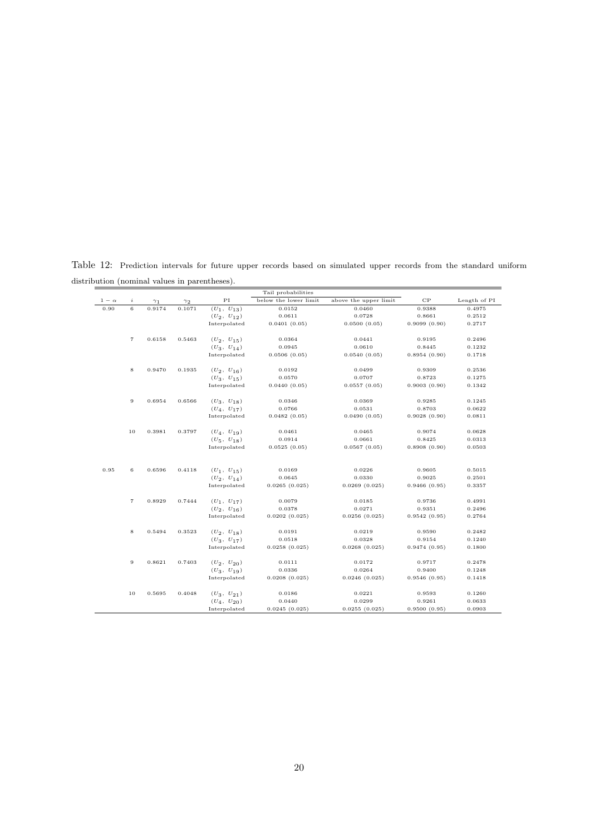Table 12: Prediction intervals for future upper records based on simulated upper records from the standard uniform distribution (nominal values in parentheses).

|            |                   |            |            |                 | Tail probabilities    |                       |              |              |
|------------|-------------------|------------|------------|-----------------|-----------------------|-----------------------|--------------|--------------|
| $1-\alpha$ | $\it i$           | $\gamma_1$ | $\gamma_2$ | PI              | below the lower limit | above the upper limit | CP           | Length of PI |
| 0.90       | 6                 | 0.9174     | 0.1071     | $(U_1, U_{13})$ | 0.0152                | 0.0460                | 0.9388       | 0.4975       |
|            |                   |            |            | $(U_2, U_{12})$ | 0.0611                | 0.0728                | 0.8661       | 0.2512       |
|            |                   |            |            | Interpolated    | 0.0401(0.05)          | 0.0500(0.05)          | 0.9099(0.90) | 0.2717       |
|            |                   |            |            |                 |                       |                       |              |              |
|            | $\scriptstyle{7}$ | 0.6158     | 0.5463     | $(U_2, U_{15})$ | 0.0364                | 0.0441                | 0.9195       | 0.2496       |
|            |                   |            |            | $(U_3, U_{14})$ | 0.0945                | 0.0610                | 0.8445       | 0.1232       |
|            |                   |            |            | Interpolated    | 0.0506(0.05)          | 0.0540(0.05)          | 0.8954(0.90) | 0.1718       |
|            |                   |            |            |                 |                       |                       |              |              |
|            | 8                 | 0.9470     | 0.1935     | $(U_2, U_{16})$ | 0.0192                | 0.0499                | 0.9309       | 0.2536       |
|            |                   |            |            | $(U_3, U_{15})$ | 0.0570                | 0.0707                | 0.8723       | 0.1275       |
|            |                   |            |            | Interpolated    | 0.0440(0.05)          | 0.0557(0.05)          | 0.9003(0.90) | 0.1342       |
|            |                   |            |            |                 |                       |                       |              |              |
|            | $\overline{9}$    | 0.6954     | 0.6566     | $(U_3, U_{18})$ | 0.0346                | 0.0369                | 0.9285       | 0.1245       |
|            |                   |            |            | $(U_4, U_{17})$ | 0.0766                | 0.0531                | 0.8703       | 0.0622       |
|            |                   |            |            | Interpolated    | 0.0482(0.05)          | 0.0490(0.05)          | 0.9028(0.90) | 0.0811       |
|            |                   |            |            |                 |                       |                       |              |              |
|            | 10                | 0.3981     | 0.3797     | $(U_4, U_{19})$ | 0.0461                | 0.0465                | 0.9074       | 0.0628       |
|            |                   |            |            | $(U_5, U_{18})$ | 0.0914                | 0.0661                | 0.8425       | 0.0313       |
|            |                   |            |            | Interpolated    | 0.0525(0.05)          | 0.0567(0.05)          | 0.8908(0.90) | 0.0503       |
|            |                   |            |            |                 |                       |                       |              |              |
| 0.95       | 6                 | 0.6596     | 0.4118     | $(U_1, U_{15})$ | 0.0169                | 0.0226                | 0.9605       | 0.5015       |
|            |                   |            |            | $(U_2, U_{14})$ | 0.0645                | 0.0330                | 0.9025       | 0.2501       |
|            |                   |            |            | Interpolated    | 0.0265(0.025)         | 0.0269(0.025)         | 0.9466(0.95) | 0.3357       |
|            |                   |            |            |                 |                       |                       |              |              |
|            | $\overline{7}$    | 0.8929     | 0.7444     | $(U_1, U_{17})$ | 0.0079                | 0.0185                | 0.9736       | 0.4991       |
|            |                   |            |            | $(U_2, U_{16})$ | 0.0378                | 0.0271                | 0.9351       | 0.2496       |
|            |                   |            |            | Interpolated    | 0.0202(0.025)         | 0.0256(0.025)         | 0.9542(0.95) | 0.2764       |
|            |                   |            |            |                 |                       |                       |              |              |
|            | 8                 | 0.5494     | 0.3523     | $(U_2, U_{18})$ | 0.0191                | 0.0219                | 0.9590       | 0.2482       |
|            |                   |            |            | $(U_3, U_{17})$ | 0.0518                | 0.0328                | 0.9154       | 0.1240       |
|            |                   |            |            | Interpolated    | 0.0258(0.025)         | 0.0268(0.025)         | 0.9474(0.95) | 0.1800       |
|            |                   |            |            |                 |                       |                       |              |              |
|            | 9                 | 0.8621     | 0.7403     | $(U_2, U_{20})$ | 0.0111                | 0.0172                | 0.9717       | 0.2478       |
|            |                   |            |            | $(U_3, U_{19})$ | 0.0336                | 0.0264                | 0.9400       | 0.1248       |
|            |                   |            |            | Interpolated    | 0.0208(0.025)         | 0.0246(0.025)         | 0.9546(0.95) | 0.1418       |
|            |                   |            |            |                 |                       |                       |              |              |
|            | 10                | 0.5695     | 0.4048     | $(U_3, U_{21})$ | 0.0186                | 0.0221                | 0.9593       | 0.1260       |
|            |                   |            |            | $(U_4, U_{20})$ | 0.0440                | 0.0299                | 0.9261       | 0.0633       |
|            |                   |            |            | Interpolated    | 0.0245(0.025)         | 0.0255(0.025)         | 0.9500(0.95) | 0.0903       |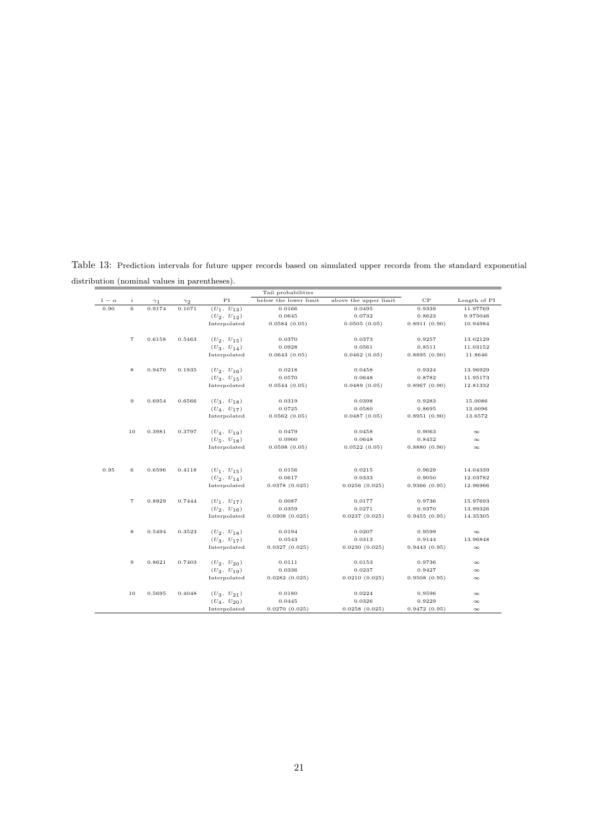Table 13: Prediction intervals for future upper records based on simulated upper records from the standard exponential distribution (nominal values in parentheses).

|              |                   |            |            |                                 | Tail probabilities    |                       |              |              |
|--------------|-------------------|------------|------------|---------------------------------|-----------------------|-----------------------|--------------|--------------|
| $1 - \alpha$ | i                 | $\gamma_1$ | $\gamma_2$ | ΡI                              | below the lower limit | above the upper limit | CP           | Length of PI |
| 0.90         | 6                 | 0.9174     | 0.1071     | $(U_1, U_{13})$                 | 0.0166                | 0.0495                | 0.9339       | 11.97769     |
|              |                   |            |            | $(U_2, U_{12})$                 | 0.0645                | 0.0732                | 0.8623       | 9.975046     |
|              |                   |            |            | Interpolated                    | 0.0584(0.05)          | 0.0505(0.05)          | 0.8911(0.90) | 10.94984     |
|              |                   |            |            |                                 |                       |                       |              |              |
|              | $\scriptstyle{7}$ | 0.6158     | 0.5463     | $(U_2, U_{15})$                 | 0.0370                | 0.0373                | 0.9257       | 13.02129     |
|              |                   |            |            | $(U_3, U_{14})$                 | 0.0928                | 0.0561                | 0.8511       | 11.03152     |
|              |                   |            |            | Interpolated                    | 0.0643(0.05)          | 0.0462(0.05)          | 0.8895(0.90) | 11.8646      |
|              |                   |            |            |                                 |                       |                       |              |              |
|              | $\bf8$            | 0.9470     | 0.1935     | $(U_2, U_{16})$                 | 0.0218                | 0.0458                | 0.9324       | 13.96929     |
|              |                   |            |            | $(U_3, U_{15})$                 | 0.0570                | 0.0648                | 0.8782       | 11.95173     |
|              |                   |            |            | Interpolated                    | 0.0544(0.05)          | 0.0489(0.05)          | 0.8967(0.90) | 12.81332     |
|              |                   |            |            |                                 |                       |                       |              |              |
|              | 9                 | 0.6954     | 0.6566     | $(U_3, U_{18})$                 | 0.0319                | 0.0398                | 0.9283       | 15.0086      |
|              |                   |            |            | $(U_4, U_{17})$                 | 0.0725                | 0.0580                | 0.8695       | 13.0096      |
|              |                   |            |            | Interpolated                    | 0.0562(0.05)          | 0.0487(0.05)          | 0.8951(0.90) | 13.6572      |
|              |                   |            |            |                                 |                       |                       |              |              |
|              | 10                | 0.3981     | 0.3797     | $(U_4, U_{19})$                 | 0.0479                | 0.0458                | 0.9063       | $\infty$     |
|              |                   |            |            | $(U_5, U_{18})$                 | 0.0900                | 0.0648                | 0.8452       | $\infty$     |
|              |                   |            |            | Interpolated                    | 0.0598(0.05)          | 0.0522(0.05)          | 0.8880(0.90) | $\infty$     |
|              |                   |            |            |                                 |                       |                       |              |              |
|              |                   |            |            |                                 |                       |                       |              |              |
| 0.95         | $\,$ 6            | 0.6596     | 0.4118     | $(U_1, U_{15})$                 | 0.0156                | 0.0215                | 0.9629       | 14.04339     |
|              |                   |            |            | $(U_2, U_{14})$<br>Interpolated | 0.0617                | 0.0333                | 0.9050       | 12.03782     |
|              |                   |            |            |                                 | 0.0378(0.025)         | 0.0256(0.025)         | 0.9366(0.95) | 12.96966     |
|              | $\overline{7}$    | 0.8929     | 0.7444     | $(U_1, U_{17})$                 | 0.0087                | 0.0177                | 0.9736       | 15.97693     |
|              |                   |            |            | $(U_2, U_{16})$                 | 0.0359                | 0.0271                | 0.9370       | 13.99326     |
|              |                   |            |            | Interpolated                    | 0.0308(0.025)         | 0.0237(0.025)         | 0.9455(0.95) | 14.35305     |
|              |                   |            |            |                                 |                       |                       |              |              |
|              | 8                 | 0.5494     | 0.3523     | $(U_2, U_{18})$                 | 0.0194                | 0.0207                | 0.9599       | $\infty$     |
|              |                   |            |            | $(U_3, U_{17})$                 | 0.0543                | 0.0313                | 0.9144       | 13.96848     |
|              |                   |            |            | Interpolated                    | 0.0327(0.025)         | 0.0230(0.025)         | 0.9443(0.95) | $\infty$     |
|              |                   |            |            |                                 |                       |                       |              |              |
|              | 9                 | 0.8621     | 0.7403     | $(U_2, U_{20})$                 | 0.0111                | 0.0153                | 0.9736       | $\infty$     |
|              |                   |            |            | $(U_3, U_{19})$                 | 0.0336                | 0.0237                | 0.9427       | $\infty$     |
|              |                   |            |            | Interpolated                    | 0.0282(0.025)         | 0.0210(0.025)         | 0.9508(0.95) | $\infty$     |
|              |                   |            |            |                                 |                       |                       |              |              |
|              | 10                | 0.5695     | 0.4048     | $(U_3, U_{21})$                 | 0.0180                | 0.0224                | 0.9596       | $\infty$     |
|              |                   |            |            | $(U_4, U_{20})$                 | 0.0445                | 0.0326                | 0.9229       | $\infty$     |
|              |                   |            |            | Interpolated                    | 0.0270(0.025)         | 0.0258(0.025)         | 0.9472(0.95) | $\infty$     |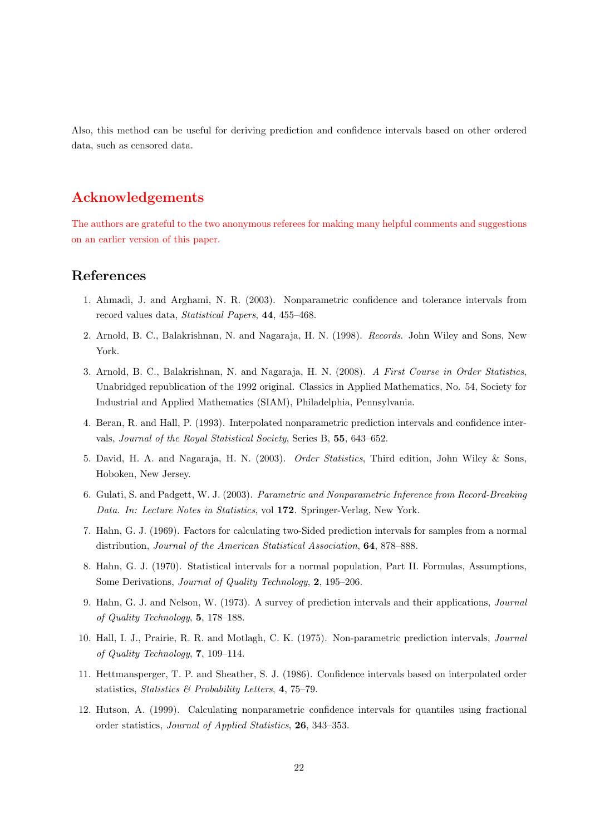Also, this method can be useful for deriving prediction and confidence intervals based on other ordered data, such as censored data.

# **Acknowledgements**

The authors are grateful to the two anonymous referees for making many helpful comments and suggestions on an earlier version of this paper.

## **References**

- 1. Ahmadi, J. and Arghami, N. R. (2003). Nonparametric confidence and tolerance intervals from record values data, *Statistical Papers*, **44**, 455–468.
- 2. Arnold, B. C., Balakrishnan, N. and Nagaraja, H. N. (1998). *Records*. John Wiley and Sons, New York.
- 3. Arnold, B. C., Balakrishnan, N. and Nagaraja, H. N. (2008). *A First Course in Order Statistics*, Unabridged republication of the 1992 original. Classics in Applied Mathematics, No. 54, Society for Industrial and Applied Mathematics (SIAM), Philadelphia, Pennsylvania.
- 4. Beran, R. and Hall, P. (1993). Interpolated nonparametric prediction intervals and confidence intervals, *Journal of the Royal Statistical Society*, Series B, **55**, 643–652.
- 5. David, H. A. and Nagaraja, H. N. (2003). *Order Statistics*, Third edition, John Wiley & Sons, Hoboken, New Jersey.
- 6. Gulati, S. and Padgett, W. J. (2003). *Parametric and Nonparametric Inference from Record-Breaking Data. In: Lecture Notes in Statistics*, vol **172**. Springer-Verlag, New York.
- 7. Hahn, G. J. (1969). Factors for calculating two-Sided prediction intervals for samples from a normal distribution, *Journal of the American Statistical Association*, **64**, 878–888.
- 8. Hahn, G. J. (1970). Statistical intervals for a normal population, Part II. Formulas, Assumptions, Some Derivations, *Journal of Quality Technology*, **2**, 195–206.
- 9. Hahn, G. J. and Nelson, W. (1973). A survey of prediction intervals and their applications, *Journal of Quality Technology*, **5**, 178–188.
- 10. Hall, I. J., Prairie, R. R. and Motlagh, C. K. (1975). Non-parametric prediction intervals, *Journal of Quality Technology*, **7**, 109–114.
- 11. Hettmansperger, T. P. and Sheather, S. J. (1986). Confidence intervals based on interpolated order statistics, *Statistics & Probability Letters*, **4**, 75–79.
- 12. Hutson, A. (1999). Calculating nonparametric confidence intervals for quantiles using fractional order statistics, *Journal of Applied Statistics*, **26**, 343–353.